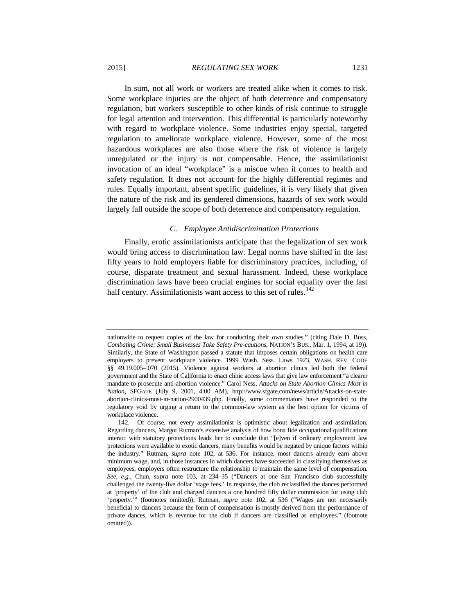In sum, not all work or workers are treated alike when it comes to risk. Some workplace injuries are the object of both deterrence and compensatory regulation, but workers susceptible to other kinds of risk continue to struggle for legal attention and intervention. This differential is particularly noteworthy with regard to workplace violence. Some industries enjoy special, targeted regulation to ameliorate workplace violence. However, some of the most hazardous workplaces are also those where the risk of violence is largely unregulated or the injury is not compensable. Hence, the assimilationist invocation of an ideal "workplace" is a miscue when it comes to health and safety regulation. It does not account for the highly differential regimes and rules. Equally important, absent specific guidelines, it is very likely that given the nature of the risk and its gendered dimensions, hazards of sex work would largely fall outside the scope of both deterrence and compensatory regulation.

#### *C. Employee Antidiscrimination Protections*

Finally, erotic assimilationists anticipate that the legalization of sex work would bring access to discrimination law. Legal norms have shifted in the last fifty years to hold employers liable for discriminatory practices, including, of course, disparate treatment and sexual harassment. Indeed, these workplace discrimination laws have been crucial engines for social equality over the last half century. Assimilationists want access to this set of rules. $142$ 

nationwide to request copies of the law for conducting their own studies." (citing Dale D. Buss, *Combating Crime; Small Businesses Take Safety Pre-cautions*, NATION'S BUS., Mar. 1, 1994, at 19)). Similarly, the State of Washington passed a statute that imposes certain obligations on health care employers to prevent workplace violence. 1999 Wash. Sess. Laws 1923, WASH. REV. CODE §§ 49.19.005–.070 (2015). Violence against workers at abortion clinics led both the federal government and the State of California to enact clinic access laws that give law enforcement "a clearer mandate to prosecute anti-abortion violence." Carol Ness, *Attacks on State Abortion Clinics Most in Nation*, SFGATE (July 9, 2001, 4:00 AM), http://www.sfgate.com/news/article/Attacks-on-stateabortion-clinics-most-in-nation-2900439.php. Finally, some commentators have responded to the regulatory void by urging a return to the common-law system as the best option for victims of workplace violence.

<span id="page-36-0"></span><sup>142.</sup> Of course, not every assimilationist is optimistic about legalization and assimilation. Regarding dancers, Margot Rutman's extensive analysis of how bona fide occupational qualifications interact with statutory protections leads her to conclude that "[e]ven if ordinary employment law protections were available to exotic dancers, many benefits would be negated by unique factors within the industry." Rutman, *supra* note [102,](#page-28-0) at 536. For instance, most dancers already earn above minimum wage, and, in those instances in which dancers have succeeded in classifying themselves as employees, employers often restructure the relationship to maintain the same level of compensation. *See, e.g.*, Chun, *supra* note [103,](#page-28-1) at 234–35 ("Dancers at one San Francisco club successfully challenged the twenty-five dollar 'stage fees.' In response, the club reclassified the dances performed at 'property' of the club and charged dancers a one hundred fifty dollar commission for using club 'property.'" (footnotes omitted)); Rutman, *supra* note [102,](#page-28-0) at 536 ("Wages are not necessarily beneficial to dancers because the form of compensation is mostly derived from the performance of private dances, which is revenue for the club if dancers are classified as employees." (footnote omitted)).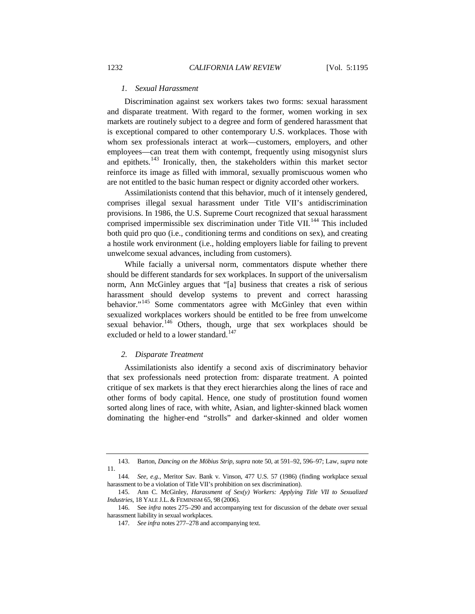## *1. Sexual Harassment*

Discrimination against sex workers takes two forms: sexual harassment and disparate treatment. With regard to the former, women working in sex markets are routinely subject to a degree and form of gendered harassment that is exceptional compared to other contemporary U.S. workplaces. Those with whom sex professionals interact at work—customers, employers, and other employees—can treat them with contempt, frequently using misogynist slurs and epithets.[143](#page-37-0) Ironically, then, the stakeholders within this market sector reinforce its image as filled with immoral, sexually promiscuous women who are not entitled to the basic human respect or dignity accorded other workers.

Assimilationists contend that this behavior, much of it intensely gendered, comprises illegal sexual harassment under Title VII's antidiscrimination provisions. In 1986, the U.S. Supreme Court recognized that sexual harassment comprised impermissible sex discrimination under Title VII.<sup>[144](#page-37-1)</sup> This included both quid pro quo (i.e., conditioning terms and conditions on sex), and creating a hostile work environment (i.e., holding employers liable for failing to prevent unwelcome sexual advances, including from customers).

<span id="page-37-5"></span>While facially a universal norm, commentators dispute whether there should be different standards for sex workplaces. In support of the universalism norm, Ann McGinley argues that "[a] business that creates a risk of serious harassment should develop systems to prevent and correct harassing behavior."<sup>[145](#page-37-2)</sup> Some commentators agree with McGinley that even within sexualized workplaces workers should be entitled to be free from unwelcome sexual behavior.<sup>[146](#page-37-3)</sup> Others, though, urge that sex workplaces should be excluded or held to a lower standard.<sup>[147](#page-37-4)</sup>

#### *2. Disparate Treatment*

Assimilationists also identify a second axis of discriminatory behavior that sex professionals need protection from: disparate treatment. A pointed critique of sex markets is that they erect hierarchies along the lines of race and other forms of body capital. Hence, one study of prostitution found women sorted along lines of race, with white, Asian, and lighter-skinned black women dominating the higher-end "strolls" and darker-skinned and older women

<span id="page-37-0"></span><sup>143.</sup> Barton, *Dancing on the Möbius Strip*, *supra* not[e 50,](#page-16-0) at 591–92, 596–97; Law, *supra* note [11.](#page-4-0)

<span id="page-37-1"></span><sup>144</sup>*. See, e.g.*, Meritor Sav. Bank v. Vinson, 477 U.S. 57 (1986) (finding workplace sexual harassment to be a violation of Title VII's prohibition on sex discrimination).

<span id="page-37-2"></span><sup>145.</sup> Ann C. McGinley, *Harassment of Sex(y) Workers: Applying Title VII to Sexualized Industries*, 18 YALE J.L. & FEMINISM 65, 98 (2006).

<span id="page-37-4"></span><span id="page-37-3"></span><sup>146.</sup> See *infra* notes [275](#page-68-0)[–290](#page-72-0) and accompanying text for discussion of the debate over sexual harassment liability in sexual workplaces.

<sup>147</sup>*. See infra* note[s 277–](#page-69-0)[278](#page-70-0) and accompanying text.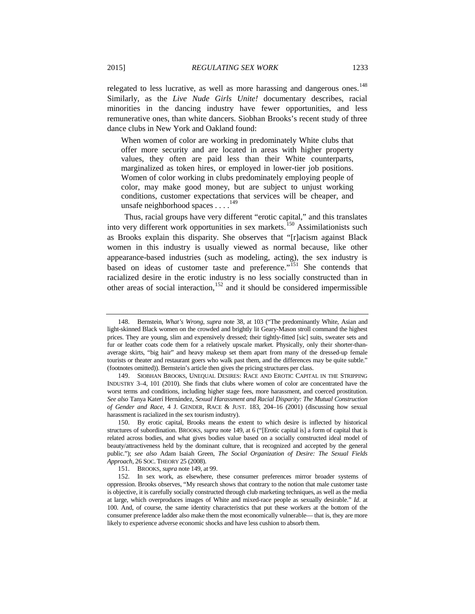relegated to less lucrative, as well as more harassing and dangerous ones.<sup>[148](#page-38-1)</sup> Similarly, as the *Live Nude Girls Unite!* documentary describes, racial minorities in the dancing industry have fewer opportunities, and less remunerative ones, than white dancers. Siobhan Brooks's recent study of three dance clubs in New York and Oakland found:

When women of color are working in predominately White clubs that offer more security and are located in areas with higher property values, they often are paid less than their White counterparts, marginalized as token hires, or employed in lower-tier job positions. Women of color working in clubs predominately employing people of color, may make good money, but are subject to unjust working conditions, customer expectations that services will be cheaper, and unsafe neighborhood spaces . . . . <sup>[149](#page-38-2)</sup>

<span id="page-38-0"></span>Thus, racial groups have very different "erotic capital," and this translates into very different work opportunities in sex markets.<sup>[150](#page-38-3)</sup> Assimilationists such as Brooks explain this disparity. She observes that "[r]acism against Black women in this industry is usually viewed as normal because, like other appearance-based industries (such as modeling, acting), the sex industry is based on ideas of customer taste and preference."<sup>[151](#page-38-4)</sup> She contends that racialized desire in the erotic industry is no less socially constructed than in other areas of social interaction,<sup>[152](#page-38-5)</sup> and it should be considered impermissible

<span id="page-38-1"></span><sup>148.</sup> Bernstein, *What's Wrong*, *supra* note [38,](#page-13-0) at 103 ("The predominantly White, Asian and light-skinned Black women on the crowded and brightly lit Geary-Mason stroll command the highest prices. They are young, slim and expensively dressed; their tightly-fitted [sic] suits, sweater sets and fur or leather coats code them for a relatively upscale market. Physically, only their shorter-thanaverage skirts, "big hair" and heavy makeup set them apart from many of the dressed-up female tourists or theater and restaurant goers who walk past them, and the differences may be quite subtle." (footnotes omitted)). Bernstein's article then gives the pricing structures per class.

<span id="page-38-2"></span><sup>149.</sup> SIOBHAN BROOKS, UNEQUAL DESIRES: RACE AND EROTIC CAPITAL IN THE STRIPPING INDUSTRY 3–4, 101 (2010). She finds that clubs where women of color are concentrated have the worst terms and conditions, including higher stage fees, more harassment, and coerced prostitution. *See also* Tanya Katerí Hernández, *Sexual Harassment and Racial Disparity: The Mutual Construction of Gender and Race*, 4 J. GENDER, RACE & JUST. 183, 204–16 (2001) (discussing how sexual harassment is racialized in the sex tourism industry).

<span id="page-38-3"></span><sup>150.</sup> By erotic capital, Brooks means the extent to which desire is inflected by historical structures of subordination. BROOKS, *supra* not[e 149,](#page-38-0) at 6 ("[Erotic capital is] a form of capital that is related across bodies, and what gives bodies value based on a socially constructed ideal model of beauty/attractiveness held by the dominant culture, that is recognized and accepted by the general public."); *see also* Adam Isaiah Green, *The Social Organization of Desire: The Sexual Fields Approach*, 26 SOC. THEORY 25 (2008).

<sup>151.</sup> BROOKS, *supra* not[e 149,](#page-38-0) at 99.

<span id="page-38-5"></span><span id="page-38-4"></span><sup>152.</sup> In sex work, as elsewhere, these consumer preferences mirror broader systems of oppression. Brooks observes, "My research shows that contrary to the notion that male customer taste is objective, it is carefully socially constructed through club marketing techniques, as well as the media at large, which overproduces images of White and mixed-race people as sexually desirable." *Id*. at 100. And, of course, the same identity characteristics that put these workers at the bottom of the consumer preference ladder also make them the most economically vulnerable— that is, they are more likely to experience adverse economic shocks and have less cushion to absorb them.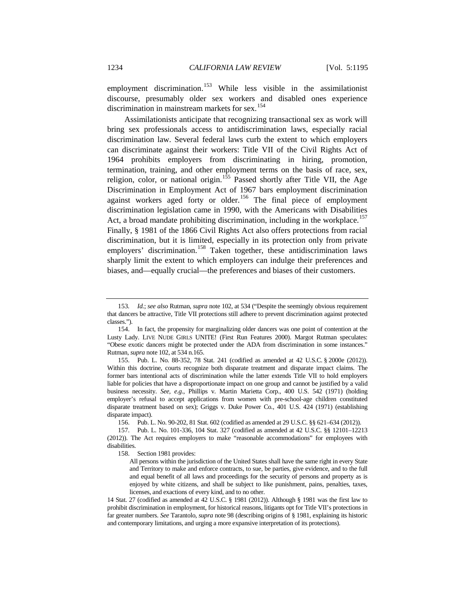employment discrimination.<sup>[153](#page-39-0)</sup> While less visible in the assimilationist discourse, presumably older sex workers and disabled ones experience discrimination in mainstream markets for sex.<sup>[154](#page-39-1)</sup>

<span id="page-39-6"></span>Assimilationists anticipate that recognizing transactional sex as work will bring sex professionals access to antidiscrimination laws, especially racial discrimination law. Several federal laws curb the extent to which employers can discriminate against their workers: Title VII of the Civil Rights Act of 1964 prohibits employers from discriminating in hiring, promotion, termination, training, and other employment terms on the basis of race, sex, religion, color, or national origin.<sup>[155](#page-39-2)</sup> Passed shortly after Title VII, the Age Discrimination in Employment Act of 1967 bars employment discrimination against workers aged forty or older.<sup>[156](#page-39-3)</sup> The final piece of employment discrimination legislation came in 1990, with the Americans with Disabilities Act, a broad mandate prohibiting discrimination, including in the workplace.<sup>[157](#page-39-4)</sup> Finally, § 1981 of the 1866 Civil Rights Act also offers protections from racial discrimination, but it is limited, especially in its protection only from private employers' discrimination.<sup>[158](#page-39-5)</sup> Taken together, these antidiscrimination laws sharply limit the extent to which employers can indulge their preferences and biases, and—equally crucial—the preferences and biases of their customers.

<span id="page-39-0"></span><sup>153</sup>*. Id.*; *see also* Rutman, *supra* note [102,](#page-28-0) at 534 ("Despite the seemingly obvious requirement that dancers be attractive, Title VII protections still adhere to prevent discrimination against protected classes.").

<span id="page-39-1"></span><sup>154.</sup> In fact, the propensity for marginalizing older dancers was one point of contention at the Lusty Lady. LIVE NUDE GIRLS UNITE! (First Run Features 2000). Margot Rutman speculates: "Obese exotic dancers might be protected under the ADA from discrimination in some instances." Rutman, *supra* not[e 102,](#page-28-0) at 534 n.165.

<span id="page-39-2"></span><sup>155.</sup> Pub. L. No. 88-352, 78 Stat. 241 (codified as amended at 42 U.S.C. § 2000e (2012)). Within this doctrine, courts recognize both disparate treatment and disparate impact claims. The former bars intentional acts of discrimination while the latter extends Title VII to hold employers liable for policies that have a disproportionate impact on one group and cannot be justified by a valid business necessity. *See, e.g.*, Phillips v. Martin Marietta Corp., 400 U.S. 542 (1971) (holding employer's refusal to accept applications from women with pre-school-age children constituted disparate treatment based on sex); Griggs v. Duke Power Co., 401 U.S. 424 (1971) (establishing disparate impact).

<sup>156.</sup> Pub. L. No. 90-202, 81 Stat. 602 (codified as amended at 29 U.S.C. §§ 621–634 (2012)).

<span id="page-39-5"></span><span id="page-39-4"></span><span id="page-39-3"></span><sup>157.</sup> Pub. L. No. 101-336, 104 Stat. 327 (codified as amended at 42 U.S.C. §§ 12101–12213 (2012)). The Act requires employers to make "reasonable accommodations" for employees with disabilities.

<sup>158.</sup> Section 1981 provides:

All persons within the jurisdiction of the United States shall have the same right in every State and Territory to make and enforce contracts, to sue, be parties, give evidence, and to the full and equal benefit of all laws and proceedings for the security of persons and property as is enjoyed by white citizens, and shall be subject to like punishment, pains, penalties, taxes, licenses, and exactions of every kind, and to no other.

<sup>14</sup> Stat. 27 (codified as amended at 42 U.S.C. § 1981 (2012)). Although § 1981 was the first law to prohibit discrimination in employment, for historical reasons, litigants opt for Title VII's protections in far greater numbers. *See* Tarantolo, *supra* not[e 98](#page-27-0) (describing origins of § 1981, explaining its historic and contemporary limitations, and urging a more expansive interpretation of its protections).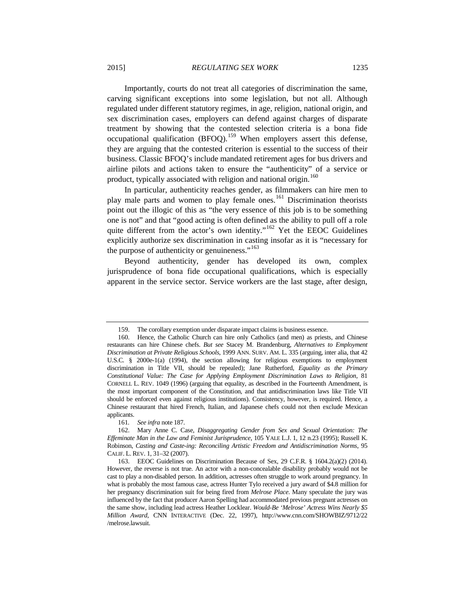Importantly, courts do not treat all categories of discrimination the same, carving significant exceptions into some legislation, but not all. Although regulated under different statutory regimes, in age, religion, national origin, and sex discrimination cases, employers can defend against charges of disparate treatment by showing that the contested selection criteria is a bona fide occupational qualification (BFOQ).<sup>[159](#page-40-0)</sup> When employers assert this defense, they are arguing that the contested criterion is essential to the success of their business. Classic BFOQ's include mandated retirement ages for bus drivers and airline pilots and actions taken to ensure the "authenticity" of a service or product, typically associated with religion and national origin.<sup>[160](#page-40-1)</sup>

In particular, authenticity reaches gender, as filmmakers can hire men to play male parts and women to play female ones.<sup>[161](#page-40-2)</sup> Discrimination theorists point out the illogic of this as "the very essence of this job is to be something one is not" and that "good acting is often defined as the ability to pull off a role quite different from the actor's own identity."<sup>[162](#page-40-3)</sup> Yet the EEOC Guidelines explicitly authorize sex discrimination in casting insofar as it is "necessary for the purpose of authenticity or genuineness."<sup>[163](#page-40-4)</sup>

<span id="page-40-5"></span>Beyond authenticity, gender has developed its own, complex jurisprudence of bona fide occupational qualifications, which is especially apparent in the service sector. Service workers are the last stage, after design,

161*. See infra* not[e 187.](#page-45-0)

<sup>159.</sup> The corollary exemption under disparate impact claims is business essence.

<span id="page-40-1"></span><span id="page-40-0"></span><sup>160.</sup> Hence, the Catholic Church can hire only Catholics (and men) as priests, and Chinese restaurants can hire Chinese chefs. *But see* Stacey M. Brandenburg, *Alternatives to Employment Discrimination at Private Religious Schools*, 1999 ANN. SURV. AM. L. 335 (arguing, inter alia, that 42 U.S.C. § 2000e-1(a) (1994), the section allowing for religious exemptions to employment discrimination in Title VII, should be repealed); Jane Rutherford, *Equality as the Primary Constitutional Value: The Case for Applying Employment Discrimination Laws to Religion*, 81 CORNELL L. REV. 1049 (1996) (arguing that equality, as described in the Fourteenth Amendment, is the most important component of the Constitution, and that antidiscrimination laws like Title VII should be enforced even against religious institutions). Consistency, however, is required. Hence, a Chinese restaurant that hired French, Italian, and Japanese chefs could not then exclude Mexican applicants.

<span id="page-40-3"></span><span id="page-40-2"></span><sup>162.</sup> Mary Anne C. Case, *Disaggregating Gender from Sex and Sexual Orientation: The Effeminate Man in the Law and Feminist Jurisprudence*, 105 YALE L.J. 1, 12 n.23 (1995); Russell K. Robinson, *Casting and Caste-ing: Reconciling Artistic Freedom and Antidiscrimination Norms*, 95 CALIF. L. REV. 1, 31–32 (2007).

<span id="page-40-4"></span><sup>163.</sup> EEOC Guidelines on Discrimination Because of Sex, 29 C.F.R. § 1604.2(a)(2) (2014). However, the reverse is not true. An actor with a non-concealable disability probably would not be cast to play a non-disabled person. In addition, actresses often struggle to work around pregnancy. In what is probably the most famous case, actress Hunter Tylo received a jury award of \$4.8 million for her pregnancy discrimination suit for being fired from *Melrose Place*. Many speculate the jury was influenced by the fact that producer Aaron Spelling had accommodated previous pregnant actresses on the same show, including lead actress Heather Locklear. *Would-Be 'Melrose' Actress Wins Nearly \$5 Million Award*, CNN INTERACTIVE (Dec. 22, 1997), http://www.cnn.com/SHOWBIZ/9712/22 /melrose.lawsuit.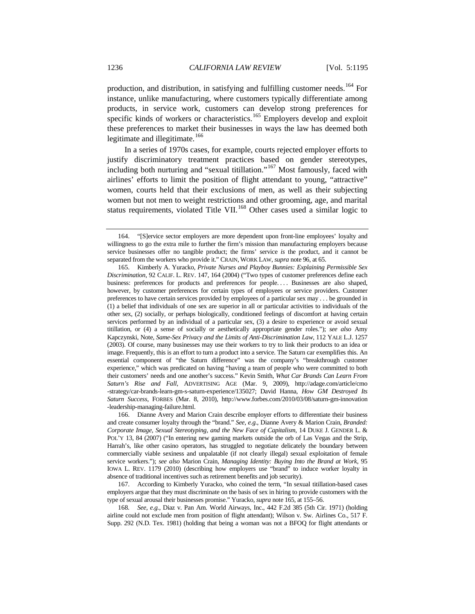<span id="page-41-0"></span>production, and distribution, in satisfying and fulfilling customer needs.<sup>[164](#page-41-1)</sup> For instance, unlike manufacturing, where customers typically differentiate among products, in service work, customers can develop strong preferences for specific kinds of workers or characteristics.<sup>[165](#page-41-2)</sup> Employers develop and exploit these preferences to market their businesses in ways the law has deemed both legitimate and illegitimate.<sup>[166](#page-41-3)</sup>

<span id="page-41-6"></span>In a series of 1970s cases, for example, courts rejected employer efforts to justify discriminatory treatment practices based on gender stereotypes, including both nurturing and "sexual titillation."[167](#page-41-4) Most famously, faced with airlines' efforts to limit the position of flight attendant to young, "attractive" women, courts held that their exclusions of men, as well as their subjecting women but not men to weight restrictions and other grooming, age, and marital status requirements, violated Title VII.<sup>[168](#page-41-5)</sup> Other cases used a similar logic to

<span id="page-41-1"></span><sup>164.</sup> "[S]ervice sector employers are more dependent upon front-line employees' loyalty and willingness to go the extra mile to further the firm's mission than manufacturing employers because service businesses offer no tangible product; the firms' service *is* the product, and it cannot be separated from the workers who provide it." CRAIN, WORK LAW, *supra* not[e 96,](#page-27-1) at 65.

<span id="page-41-2"></span><sup>165.</sup> Kimberly A. Yuracko, *Private Nurses and Playboy Bunnies: Explaining Permissible Sex Discrimination*, 92 CALIF. L. REV. 147, 164 (2004) ("Two types of customer preferences define each business: preferences for products and preferences for people.... Businesses are also shaped, however, by customer preferences for certain types of employees or service providers. Customer preferences to have certain services provided by employees of a particular sex may . . . be grounded in (1) a belief that individuals of one sex are superior in all or particular activities to individuals of the other sex, (2) socially, or perhaps biologically, conditioned feelings of discomfort at having certain services performed by an individual of a particular sex, (3) a desire to experience or avoid sexual titillation, or (4) a sense of socially or aesthetically appropriate gender roles."); *see also* Amy Kapczynski, Note, *Same-Sex Privacy and the Limits of Anti-Discrimination Law*, 112 YALE L.J. 1257 (2003). Of course, many businesses may use their workers to try to link their products to an idea or image. Frequently, this is an effort to turn a product into a service. The Saturn car exemplifies this. An essential component of "the Saturn difference" was the company's "breakthrough customer experience," which was predicated on having "having a team of people who were committed to both their customers' needs and one another's success." Kevin Smith, *What Car Brands Can Learn From Saturn's Rise and Fall*, ADVERTISING AGE (Mar. 9, 2009), http://adage.com/article/cmo -strategy/car-brands-learn-gm-s-saturn-experience/135027; David Hanna, *How GM Destroyed Its Saturn Success*, FORBES (Mar. 8, 2010), http://www.forbes.com/2010/03/08/saturn-gm-innovation -leadership-managing-failure.html.

<span id="page-41-3"></span><sup>166.</sup> Dianne Avery and Marion Crain describe employer efforts to differentiate their business and create consumer loyalty through the "brand." *See, e.g.*, Dianne Avery & Marion Crain, *Branded: Corporate Image, Sexual Stereotyping, and the New Face of Capitalism*, 14 DUKE J. GENDER L. & POL'Y 13, 84 (2007) ("In entering new gaming markets outside the orb of Las Vegas and the Strip, Harrah's, like other casino operators, has struggled to negotiate delicately the boundary between commercially viable sexiness and unpalatable (if not clearly illegal) sexual exploitation of female service workers."); *see also* Marion Crain, *Managing Identity: Buying Into the Brand at Work*, 95 IOWA L. REV. 1179 (2010) (describing how employers use "brand" to induce worker loyalty in absence of traditional incentives such as retirement benefits and job security).

<span id="page-41-4"></span><sup>167.</sup> According to Kimberly Yuracko, who coined the term, "In sexual titillation-based cases employers argue that they must discriminate on the basis of sex in hiring to provide customers with the type of sexual arousal their businesses promise." Yuracko, *supra* not[e 165,](#page-41-0) at 155–56.

<span id="page-41-5"></span><sup>168</sup>*. See, e.g.*, Diaz v. Pan Am. World Airways, Inc., 442 F.2d 385 (5th Cir. 1971) (holding airline could not exclude men from position of flight attendant); Wilson v. Sw. Airlines Co., 517 F. Supp. 292 (N.D. Tex. 1981) (holding that being a woman was not a BFOQ for flight attendants or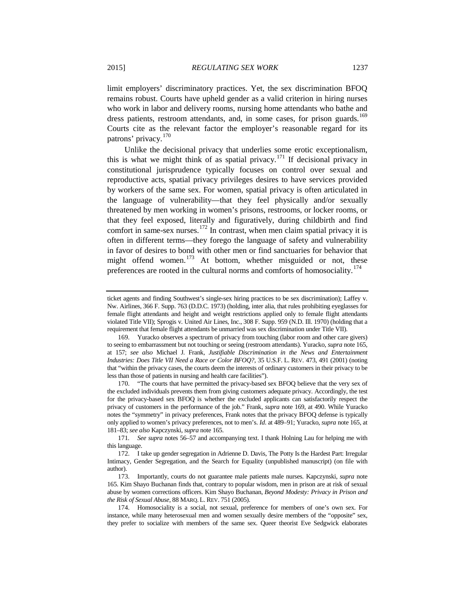<span id="page-42-0"></span>limit employers' discriminatory practices. Yet, the sex discrimination BFOQ remains robust. Courts have upheld gender as a valid criterion in hiring nurses who work in labor and delivery rooms, nursing home attendants who bathe and dress patients, restroom attendants, and, in some cases, for prison guards.<sup>[169](#page-42-1)</sup> Courts cite as the relevant factor the employer's reasonable regard for its patrons' privacy. [170](#page-42-2)

Unlike the decisional privacy that underlies some erotic exceptionalism, this is what we might think of as spatial privacy.<sup>[171](#page-42-3)</sup> If decisional privacy in constitutional jurisprudence typically focuses on control over sexual and reproductive acts, spatial privacy privileges desires to have services provided by workers of the same sex. For women, spatial privacy is often articulated in the language of vulnerability—that they feel physically and/or sexually threatened by men working in women's prisons, restrooms, or locker rooms, or that they feel exposed, literally and figuratively, during childbirth and find comfort in same-sex nurses.<sup>[172](#page-42-4)</sup> In contrast, when men claim spatial privacy it is often in different terms—they forego the language of safety and vulnerability in favor of desires to bond with other men or find sanctuaries for behavior that might offend women.<sup>[173](#page-42-5)</sup> At bottom, whether misguided or not, these preferences are rooted in the cultural norms and comforts of homosociality.<sup>[174](#page-42-6)</sup>

<span id="page-42-2"></span>170. "The courts that have permitted the privacy-based sex BFOQ believe that the very sex of the excluded individuals prevents them from giving customers adequate privacy. Accordingly, the test for the privacy-based sex BFOQ is whether the excluded applicants can satisfactorily respect the privacy of customers in the performance of the job." Frank, *supra* note [169,](#page-42-0) at 490. While Yuracko notes the "symmetry" in privacy preferences, Frank notes that the privacy BFOQ defense is typically only applied to women's privacy preferences, not to men's. *Id*. at 489–91; Yuracko, *supra* not[e 165,](#page-41-0) at 181–83; *see also* Kapczynski, *supra* not[e 165.](#page-41-0)

<span id="page-42-8"></span><span id="page-42-7"></span>ticket agents and finding Southwest's single-sex hiring practices to be sex discrimination); Laffey v. Nw. Airlines, 366 F. Supp. 763 (D.D.C. 1973) (holding, inter alia, that rules prohibiting eyeglasses for female flight attendants and height and weight restrictions applied only to female flight attendants violated Title VII); Sprogis v. United Air Lines, Inc., 308 F. Supp. 959 (N.D. Ill. 1970) (holding that a requirement that female flight attendants be unmarried was sex discrimination under Title VII).

<span id="page-42-1"></span><sup>169.</sup> Yuracko observes a spectrum of privacy from touching (labor room and other care givers) to seeing to embarrassment but not touching or seeing (restroom attendants). Yuracko, *supra* not[e 165,](#page-41-0)  at 157; *see also* Michael J. Frank, *Justifiable Discrimination in the News and Entertainment Industries: Does Title VII Need a Race or Color BFOQ?*, 35 U.S.F. L. REV. 473, 491 (2001) (noting that "within the privacy cases, the courts deem the interests of ordinary customers in their privacy to be less than those of patients in nursing and health care facilities").

<span id="page-42-3"></span><sup>171</sup>*. See supra* notes [56–](#page-17-0)[57](#page-18-0) and accompanying text. I thank Holning Lau for helping me with this language.

<span id="page-42-4"></span><sup>172.</sup> I take up gender segregation in Adrienne D. Davis, The Potty Is the Hardest Part: Irregular Intimacy, Gender Segregation, and the Search for Equality (unpublished manuscript) (on file with author).

<span id="page-42-5"></span><sup>173.</sup> Importantly, courts do not guarantee male patients male nurses. Kapczynski, *supra* note [165.](#page-41-0) Kim Shayo Buchanan finds that, contrary to popular wisdom, men in prison are at risk of sexual abuse by women corrections officers. Kim Shayo Buchanan, *Beyond Modesty: Privacy in Prison and the Risk of Sexual Abuse*, 88 MARQ. L. REV. 751 (2005).

<span id="page-42-6"></span><sup>174.</sup> Homosociality is a social, not sexual, preference for members of one's own sex. For instance, while many heterosexual men and women sexually desire members of the "opposite" sex, they prefer to socialize with members of the same sex. Queer theorist Eve Sedgwick elaborates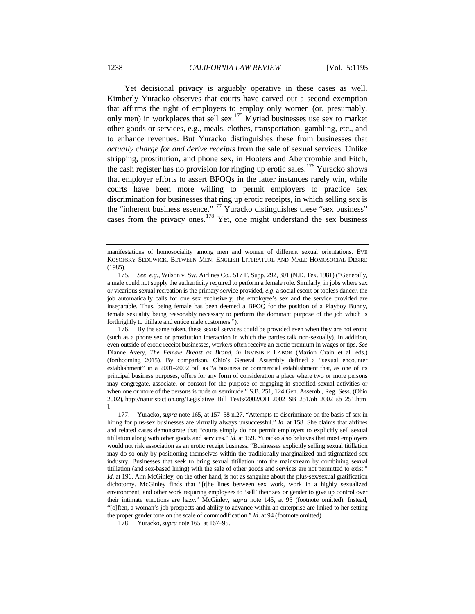<span id="page-43-4"></span>Yet decisional privacy is arguably operative in these cases as well. Kimberly Yuracko observes that courts have carved out a second exemption that affirms the right of employers to employ only women (or, presumably, only men) in workplaces that sell sex.[175](#page-43-0) Myriad businesses use sex to market other goods or services, e.g., meals, clothes, transportation, gambling, etc., and to enhance revenues. But Yuracko distinguishes these from businesses that *actually charge for and derive receipts* from the sale of sexual services. Unlike stripping, prostitution, and phone sex, in Hooters and Abercrombie and Fitch, the cash register has no provision for ringing up erotic sales.<sup>[176](#page-43-1)</sup> Yuracko shows that employer efforts to assert BFOQs in the latter instances rarely win, while courts have been more willing to permit employers to practice sex discrimination for businesses that ring up erotic receipts, in which selling sex is the "inherent business essence."<sup>[177](#page-43-2)</sup> Yuracko distinguishes these "sex business" cases from the privacy ones.<sup>[178](#page-43-3)</sup> Yet, one might understand the sex business

<span id="page-43-3"></span>178. Yuracko, *supra* not[e 165,](#page-41-0) at 167–95.

manifestations of homosociality among men and women of different sexual orientations. EVE KOSOFSKY SEDGWICK, BETWEEN MEN: ENGLISH LITERATURE AND MALE HOMOSOCIAL DESIRE (1985).

<span id="page-43-0"></span><sup>175</sup>*. See, e.g.*, Wilson v. Sw. Airlines Co., 517 F. Supp. 292, 301 (N.D. Tex. 1981) ("Generally, a male could not supply the authenticity required to perform a female role. Similarly, in jobs where sex or vicarious sexual recreation is the primary service provided, *e.g*. a social escort or topless dancer, the job automatically calls for one sex exclusively; the employee's sex and the service provided are inseparable. Thus, being female has been deemed a BFOQ for the position of a Playboy Bunny, female sexuality being reasonably necessary to perform the dominant purpose of the job which is forthrightly to titillate and entice male customers.").

<span id="page-43-1"></span><sup>176.</sup> By the same token, these sexual services could be provided even when they are not erotic (such as a phone sex or prostitution interaction in which the parties talk non-sexually). In addition, even outside of erotic receipt businesses, workers often receive an erotic premium in wages or tips. *See*  Dianne Avery, *The Female Breast as Brand, in* INVISIBLE LABOR (Marion Crain et al. eds.) (forthcoming 2015). By comparison, Ohio's General Assembly defined a "sexual encounter establishment" in a 2001–2002 bill as "a business or commercial establishment that, as one of its principal business purposes, offers for any form of consideration a place where two or more persons may congregate, associate, or consort for the purpose of engaging in specified sexual activities or when one or more of the persons is nude or seminude." S.B. 251, 124 Gen. Assemb., Reg. Sess. (Ohio 2002), http://naturistaction.org/Legislative\_Bill\_Texts/2002/OH\_2002\_SB\_251/oh\_2002\_sb\_251.htm l.

<span id="page-43-2"></span><sup>177.</sup> Yuracko, *supra* note [165,](#page-41-0) at 157–58 n.27. "Attempts to discriminate on the basis of sex in hiring for plus-sex businesses are virtually always unsuccessful." *Id.* at 158. She claims that airlines and related cases demonstrate that "courts simply do not permit employers to explicitly sell sexual titillation along with other goods and services." *Id*. at 159. Yuracko also believes that most employers would not risk association as an erotic receipt business. "Businesses explicitly selling sexual titillation may do so only by positioning themselves within the traditionally marginalized and stigmatized sex industry. Businesses that seek to bring sexual titillation into the mainstream by combining sexual titillation (and sex-based hiring) with the sale of other goods and services are not permitted to exist." *Id.* at 196. Ann McGinley, on the other hand, is not as sanguine about the plus-sex/sexual gratification dichotomy. McGinley finds that "[t]he lines between sex work, work in a highly sexualized environment, and other work requiring employees to 'sell' their sex or gender to give up control over their intimate emotions are hazy." McGinley, *supra* note [145,](#page-37-5) at 95 (footnote omitted). Instead, "[o]ften, a woman's job prospects and ability to advance within an enterprise are linked to her setting the proper gender tone on the scale of commodification." *Id*. at 94 (footnote omitted).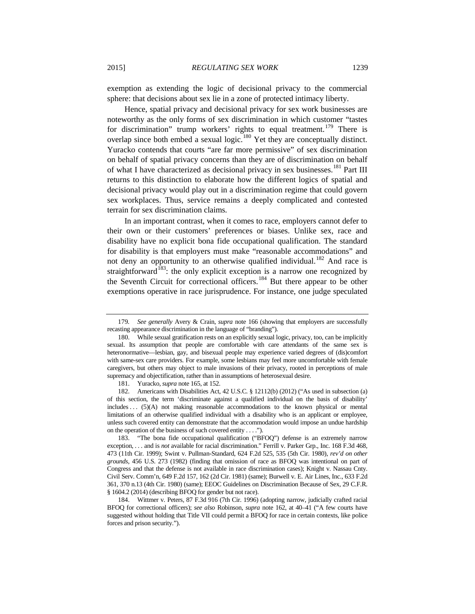exemption as extending the logic of decisional privacy to the commercial sphere: that decisions about sex lie in a zone of protected intimacy liberty.

Hence, spatial privacy and decisional privacy for sex work businesses are noteworthy as the only forms of sex discrimination in which customer "tastes for discrimination" trump workers' rights to equal treatment.<sup>[179](#page-44-0)</sup> There is overlap since both embed a sexual logic.<sup>[180](#page-44-1)</sup> Yet they are conceptually distinct. Yuracko contends that courts "are far more permissive" of sex discrimination on behalf of spatial privacy concerns than they are of discrimination on behalf of what I have characterized as decisional privacy in sex businesses.<sup>[181](#page-44-2)</sup> Part III returns to this distinction to elaborate how the different logics of spatial and decisional privacy would play out in a discrimination regime that could govern sex workplaces. Thus, service remains a deeply complicated and contested terrain for sex discrimination claims.

<span id="page-44-6"></span>In an important contrast, when it comes to race, employers cannot defer to their own or their customers' preferences or biases. Unlike sex, race and disability have no explicit bona fide occupational qualification. The standard for disability is that employers must make "reasonable accommodations" and not deny an opportunity to an otherwise qualified individual.<sup>[182](#page-44-3)</sup> And race is straightforward<sup>183</sup>: the only explicit exception is a narrow one recognized by the Seventh Circuit for correctional officers.<sup>[184](#page-44-5)</sup> But there appear to be other exemptions operative in race jurisprudence. For instance, one judge speculated

<span id="page-44-7"></span><span id="page-44-0"></span><sup>179</sup>*. See generally* Avery & Crain, *supra* note [166](#page-41-6) (showing that employers are successfully recasting appearance discrimination in the language of "branding").

<span id="page-44-1"></span><sup>180.</sup> While sexual gratification rests on an explicitly sexual logic, privacy, too, can be implicitly sexual. Its assumption that people are comfortable with care attendants of the same sex is heteronormative—lesbian, gay, and bisexual people may experience varied degrees of (dis)comfort with same-sex care providers. For example, some lesbians may feel more uncomfortable with female caregivers, but others may object to male invasions of their privacy, rooted in perceptions of male supremacy and objectification, rather than in assumptions of heterosexual desire.

<sup>181.</sup> Yuracko, *supra* not[e 165,](#page-41-0) at 152.

<span id="page-44-3"></span><span id="page-44-2"></span><sup>182.</sup> Americans with Disabilities Act, 42 U.S.C. § 12112(b) (2012) ("As used in subsection (a) of this section, the term 'discriminate against a qualified individual on the basis of disability' includes . . . (5)(A) not making reasonable accommodations to the known physical or mental limitations of an otherwise qualified individual with a disability who is an applicant or employee, unless such covered entity can demonstrate that the accommodation would impose an undue hardship on the operation of the business of such covered entity . . . .").

<span id="page-44-4"></span><sup>183.</sup> "The bona fide occupational qualification ("BFOQ") defense is an extremely narrow exception, . . . and is *not* available for racial discrimination." Ferrill v. Parker Grp., Inc. 168 F.3d 468, 473 (11th Cir. 1999); Swint v. Pullman-Standard, 624 F.2d 525, 535 (5th Cir. 1980), *rev'd on other grounds*, 456 U.S. 273 (1982) (finding that omission of race as BFOQ was intentional on part of Congress and that the defense is not available in race discrimination cases); Knight v. Nassau Cnty. Civil Serv. Comm'n, 649 F.2d 157, 162 (2d Cir. 1981) (same); Burwell v. E. Air Lines, Inc., 633 F.2d 361, 370 n.13 (4th Cir. 1980) (same); EEOC Guidelines on Discrimination Because of Sex, 29 C.F.R. § 1604.2 (2014) (describing BFOQ for gender but not race).

<span id="page-44-5"></span><sup>184.</sup> Wittmer v. Peters*,* 87 F.3d 916 (7th Cir. 1996) (adopting narrow, judicially crafted racial BFOQ for correctional officers); *see also* Robinson, *supra* note [162,](#page-40-5) at 40–41 ("A few courts have suggested without holding that Title VII could permit a BFOQ for race in certain contexts, like police forces and prison security.").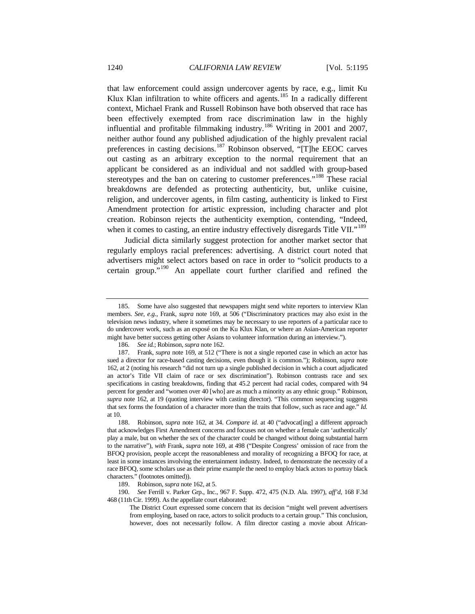<span id="page-45-0"></span>that law enforcement could assign undercover agents by race, e.g., limit Ku Klux Klan infiltration to white officers and agents.<sup>[185](#page-45-1)</sup> In a radically different context, Michael Frank and Russell Robinson have both observed that race has been effectively exempted from race discrimination law in the highly influential and profitable filmmaking industry.<sup>[186](#page-45-2)</sup> Writing in 2001 and 2007, neither author found any published adjudication of the highly prevalent racial preferences in casting decisions.<sup>[187](#page-45-3)</sup> Robinson observed, "[T]he EEOC carves out casting as an arbitrary exception to the normal requirement that an applicant be considered as an individual and not saddled with group-based stereotypes and the ban on catering to customer preferences."<sup>[188](#page-45-4)</sup> These racial breakdowns are defended as protecting authenticity, but, unlike cuisine, religion, and undercover agents, in film casting, authenticity is linked to First Amendment protection for artistic expression, including character and plot creation. Robinson rejects the authenticity exemption, contending, "Indeed, when it comes to casting, an entire industry effectively disregards Title VII."<sup>[189](#page-45-5)</sup>

Judicial dicta similarly suggest protection for another market sector that regularly employs racial preferences: advertising. A district court noted that advertisers might select actors based on race in order to "solicit products to a certain group."[190](#page-45-6) An appellate court further clarified and refined the

<span id="page-45-1"></span><sup>185.</sup> Some have also suggested that newspapers might send white reporters to interview Klan members. *See, e.g.*, Frank, *supra* note [169,](#page-42-0) at 506 ("Discriminatory practices may also exist in the television news industry, where it sometimes may be necessary to use reporters of a particular race to do undercover work, such as an exposé on the Ku Klux Klan, or where an Asian-American reporter might have better success getting other Asians to volunteer information during an interview.").

<sup>186</sup>*. See id.*; Robinson, *supra* not[e 162.](#page-40-5)

<span id="page-45-3"></span><span id="page-45-2"></span><sup>187.</sup> Frank, *supra* not[e 169,](#page-42-0) at 512 ("There is not a single reported case in which an actor has sued a director for race-based casting decisions, even though it is common."); Robinson, *supra* note [162,](#page-40-5) at 2 (noting his research "did not turn up a single published decision in which a court adjudicated an actor's Title VII claim of race or sex discrimination"). Robinson contrasts race and sex specifications in casting breakdowns, finding that 45.2 percent had racial codes, compared with 94 percent for gender and "women over 40 [who] are as much a minority as any ethnic group." Robinson, *supra* not[e 162,](#page-40-5) at 19 (quoting interview with casting director). "This common sequencing suggests that sex forms the foundation of a character more than the traits that follow, such as race and age." *Id.*  at 10.

<span id="page-45-4"></span><sup>188.</sup> Robinson, *supra* note [162,](#page-40-5) at 34. *Compare id.* at 40 ("advocat[ing] a different approach that acknowledges First Amendment concerns and focuses not on whether a female can 'authentically' play a male, but on whether the sex of the character could be changed without doing substantial harm to the narrative"), *with* Frank, *supra* not[e 169,](#page-42-0) at 498 ("Despite Congress' omission of race from the BFOQ provision, people accept the reasonableness and morality of recognizing a BFOQ for race, at least in some instances involving the entertainment industry. Indeed, to demonstrate the necessity of a race BFOQ, some scholars use as their prime example the need to employ black actors to portray black characters." (footnotes omitted)).

<sup>189.</sup> Robinson, *supra* not[e 162,](#page-40-5) at 5.

<span id="page-45-6"></span><span id="page-45-5"></span><sup>190</sup>*. See* Ferrill v. Parker Grp., Inc., 967 F. Supp. 472, 475 (N.D. Ala. 1997), *aff'd*, 168 F.3d 468 (11th Cir. 1999). As the appellate court elaborated:

The District Court expressed some concern that its decision "might well prevent advertisers from employing, based on race, actors to solicit products to a certain group." This conclusion, however, does not necessarily follow. A film director casting a movie about African-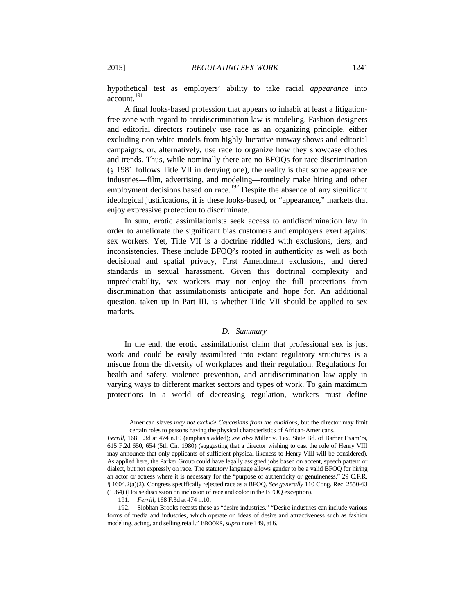hypothetical test as employers' ability to take racial *appearance* into account.<sup>[191](#page-46-0)</sup>

A final looks-based profession that appears to inhabit at least a litigationfree zone with regard to antidiscrimination law is modeling. Fashion designers and editorial directors routinely use race as an organizing principle, either excluding non-white models from highly lucrative runway shows and editorial campaigns, or, alternatively, use race to organize how they showcase clothes and trends. Thus, while nominally there are no BFOQs for race discrimination (§ 1981 follows Title VII in denying one), the reality is that some appearance industries—film, advertising, and modeling—routinely make hiring and other employment decisions based on race.<sup>[192](#page-46-1)</sup> Despite the absence of any significant ideological justifications, it is these looks-based, or "appearance," markets that enjoy expressive protection to discriminate.

In sum, erotic assimilationists seek access to antidiscrimination law in order to ameliorate the significant bias customers and employers exert against sex workers. Yet, Title VII is a doctrine riddled with exclusions, tiers, and inconsistencies. These include BFOQ's rooted in authenticity as well as both decisional and spatial privacy, First Amendment exclusions, and tiered standards in sexual harassment. Given this doctrinal complexity and unpredictability, sex workers may not enjoy the full protections from discrimination that assimilationists anticipate and hope for. An additional question, taken up in Part III, is whether Title VII should be applied to sex markets.

## *D. Summary*

In the end, the erotic assimilationist claim that professional sex is just work and could be easily assimilated into extant regulatory structures is a miscue from the diversity of workplaces and their regulation. Regulations for health and safety, violence prevention, and antidiscrimination law apply in varying ways to different market sectors and types of work. To gain maximum protections in a world of decreasing regulation, workers must define

191*. Ferrill*, 168 F.3d at 474 n.10.

American slaves *may not exclude Caucasians from the auditions*, but the director may limit certain roles to persons having the physical characteristics of African-Americans.

*Ferrill*, 168 F.3d at 474 n.10 (emphasis added); *see also* Miller v. Tex. State Bd. of Barber Exam'rs, 615 F.2d 650, 654 (5th Cir. 1980) (suggesting that a director wishing to cast the role of Henry VIII may announce that only applicants of sufficient physical likeness to Henry VIII will be considered). As applied here, the Parker Group could have legally assigned jobs based on accent, speech pattern or dialect, but not expressly on race. The statutory language allows gender to be a valid BFOQ for hiring an actor or actress where it is necessary for the "purpose of authenticity or genuineness." 29 C.F.R. § 1604.2(a)(2). Congress specifically rejected race as a BFOQ. *See generally* 110 Cong. Rec. 2550-63 (1964) (House discussion on inclusion of race and color in the BFOQ exception).

<span id="page-46-1"></span><span id="page-46-0"></span><sup>192.</sup> Siobhan Brooks recasts these as "desire industries." "Desire industries can include various forms of media and industries, which operate on ideas of desire and attractiveness such as fashion modeling, acting, and selling retail." BROOKS, *supra* not[e 149,](#page-38-0) at 6.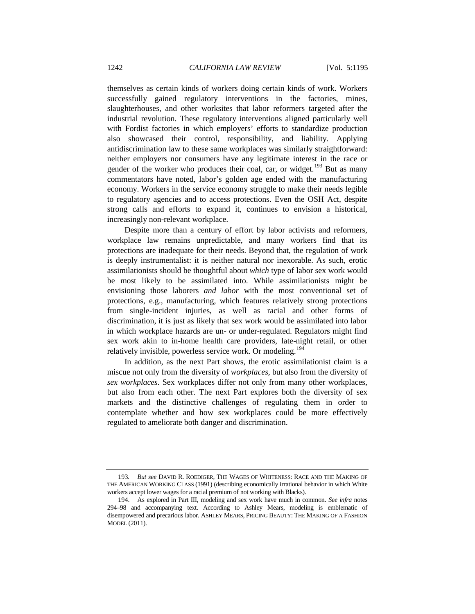themselves as certain kinds of workers doing certain kinds of work. Workers successfully gained regulatory interventions in the factories, mines, slaughterhouses, and other worksites that labor reformers targeted after the industrial revolution. These regulatory interventions aligned particularly well with Fordist factories in which employers' efforts to standardize production also showcased their control, responsibility, and liability. Applying antidiscrimination law to these same workplaces was similarly straightforward: neither employers nor consumers have any legitimate interest in the race or gender of the worker who produces their coal, car, or widget.<sup>[193](#page-47-0)</sup> But as many commentators have noted, labor's golden age ended with the manufacturing economy. Workers in the service economy struggle to make their needs legible to regulatory agencies and to access protections. Even the OSH Act, despite strong calls and efforts to expand it, continues to envision a historical, increasingly non-relevant workplace.

Despite more than a century of effort by labor activists and reformers, workplace law remains unpredictable, and many workers find that its protections are inadequate for their needs. Beyond that, the regulation of work is deeply instrumentalist: it is neither natural nor inexorable. As such, erotic assimilationists should be thoughtful about *which* type of labor sex work would be most likely to be assimilated into. While assimilationists might be envisioning those laborers *and labor* with the most conventional set of protections, e.g., manufacturing, which features relatively strong protections from single-incident injuries, as well as racial and other forms of discrimination, it is just as likely that sex work would be assimilated into labor in which workplace hazards are un- or under-regulated. Regulators might find sex work akin to in-home health care providers, late-night retail, or other relatively invisible, powerless service work. Or modeling.<sup>[194](#page-47-1)</sup>

In addition, as the next Part shows, the erotic assimilationist claim is a miscue not only from the diversity of *workplaces*, but also from the diversity of *sex workplaces*. Sex workplaces differ not only from many other workplaces, but also from each other. The next Part explores both the diversity of sex markets and the distinctive challenges of regulating them in order to contemplate whether and how sex workplaces could be more effectively regulated to ameliorate both danger and discrimination.

<span id="page-47-0"></span><sup>193</sup>*. But see* DAVID R. ROEDIGER, THE WAGES OF WHITENESS: RACE AND THE MAKING OF THE AMERICAN WORKING CLASS (1991) (describing economically irrational behavior in which White workers accept lower wages for a racial premium of not working with Blacks).

<span id="page-47-1"></span><sup>194.</sup> As explored in Part III, modeling and sex work have much in common. *See infra* notes [294–](#page-74-0)98 and accompanying text. According to Ashley Mears, modeling is emblematic of disempowered and precarious labor. ASHLEY MEARS, PRICING BEAUTY: THE MAKING OF A FASHION MODEL (2011).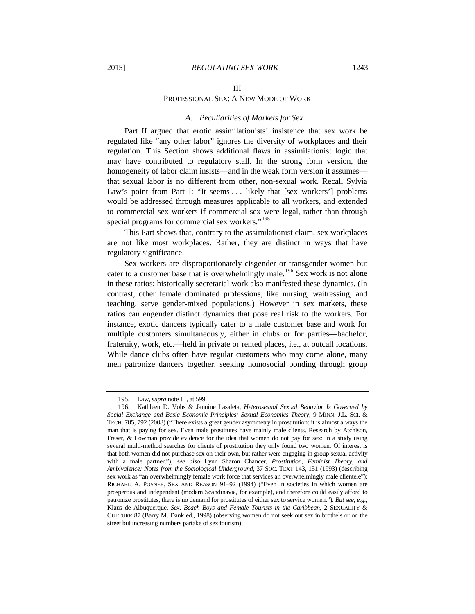# III PROFESSIONAL SEX: A NEW MODE OF WORK

#### *A. Peculiarities of Markets for Sex*

Part II argued that erotic assimilationists' insistence that sex work be regulated like "any other labor" ignores the diversity of workplaces and their regulation. This Section shows additional flaws in assimilationist logic that may have contributed to regulatory stall. In the strong form version, the homogeneity of labor claim insists—and in the weak form version it assumes that sexual labor is no different from other, non-sexual work. Recall Sylvia Law's point from Part I: "It seems . . . likely that [sex workers'] problems would be addressed through measures applicable to all workers, and extended to commercial sex workers if commercial sex were legal, rather than through special programs for commercial sex workers."<sup>[195](#page-48-0)</sup>

This Part shows that, contrary to the assimilationist claim, sex workplaces are not like most workplaces. Rather, they are distinct in ways that have regulatory significance.

Sex workers are disproportionately cisgender or transgender women but cater to a customer base that is overwhelmingly male.<sup>[196](#page-48-1)</sup> Sex work is not alone in these ratios; historically secretarial work also manifested these dynamics. (In contrast, other female dominated professions, like nursing, waitressing, and teaching, serve gender-mixed populations.) However in sex markets, these ratios can engender distinct dynamics that pose real risk to the workers. For instance, exotic dancers typically cater to a male customer base and work for multiple customers simultaneously, either in clubs or for parties—bachelor, fraternity, work, etc.—held in private or rented places, i.e., at outcall locations. While dance clubs often have regular customers who may come alone, many men patronize dancers together, seeking homosocial bonding through group

<sup>195.</sup> Law, *supra* not[e 11,](#page-4-0) at 599.

<span id="page-48-1"></span><span id="page-48-0"></span><sup>196.</sup> Kathleen D. Vohs & Jannine Lasaleta, *Heterosexual Sexual Behavior Is Governed by Social Exchange and Basic Economic Principles: Sexual Economics Theory*, 9 MINN. J.L. SCI. & TECH. 785, 792 (2008) ("There exists a great gender asymmetry in prostitution: it is almost always the man that is paying for sex. Even male prostitutes have mainly male clients. Research by Atchison, Fraser, & Lowman provide evidence for the idea that women do not pay for sex: in a study using several multi-method searches for clients of prostitution they only found two women. Of interest is that both women did not purchase sex on their own, but rather were engaging in group sexual activity with a male partner."); *see also* Lynn Sharon Chancer, *Prostitution, Feminist Theory, and Ambivalence: Notes from the Sociological Underground*, 37 SOC. TEXT 143, 151 (1993) (describing sex work as "an overwhelmingly female work force that services an overwhelmingly male clientele"); RICHARD A. POSNER, SEX AND REASON 91–92 (1994) ("Even in societies in which women are prosperous and independent (modern Scandinavia, for example), and therefore could easily afford to patronize prostitutes, there is no demand for prostitutes of either sex to service women."). *But see, e.g.*, Klaus de Albuquerque, *Sex, Beach Boys and Female Tourists in the Caribbean*, 2 SEXUALITY & CULTURE 87 (Barry M. Dank ed., 1998) (observing women do not seek out sex in brothels or on the street but increasing numbers partake of sex tourism).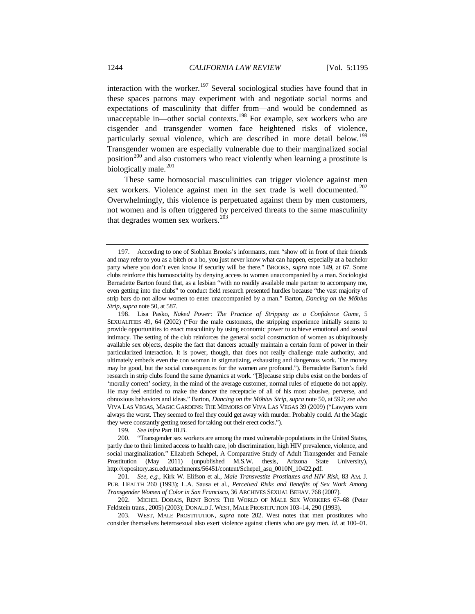interaction with the worker.<sup>[197](#page-49-1)</sup> Several sociological studies have found that in these spaces patrons may experiment with and negotiate social norms and expectations of masculinity that differ from—and would be condemned as unacceptable in—other social contexts.<sup>[198](#page-49-2)</sup> For example, sex workers who are cisgender and transgender women face heightened risks of violence, particularly sexual violence, which are described in more detail below.<sup>[199](#page-49-3)</sup> Transgender women are especially vulnerable due to their marginalized social position<sup>[200](#page-49-4)</sup> and also customers who react violently when learning a prostitute is biologically male.<sup>[201](#page-49-5)</sup>

<span id="page-49-0"></span>These same homosocial masculinities can trigger violence against men sex workers. Violence against men in the sex trade is well documented.<sup>[202](#page-49-6)</sup> Overwhelmingly, this violence is perpetuated against them by men customers, not women and is often triggered by perceived threats to the same masculinity that degrades women sex workers. $203$ 

199*. See infra* Part III.B.

<span id="page-49-1"></span><sup>197.</sup> According to one of Siobhan Brooks's informants, men "show off in front of their friends and may refer to you as a bitch or a ho, you just never know what can happen, especially at a bachelor party where you don't even know if security will be there." BROOKS, *supra* note [149,](#page-38-0) at 67. Some clubs reinforce this homosociality by denying access to women unaccompanied by a man. Sociologist Bernadette Barton found that, as a lesbian "with no readily available male partner to accompany me, even getting into the clubs" to conduct field research presented hurdles because "the vast majority of strip bars do not allow women to enter unaccompanied by a man." Barton, *Dancing on the Möbius Strip*, *supra* not[e 50,](#page-16-0) at 587.

<span id="page-49-2"></span><sup>198.</sup> Lisa Pasko, *Naked Power: The Practice of Stripping as a Confidence Game*, 5 SEXUALITIES 49, 64 (2002) ("For the male customers, the stripping experience initially seems to provide opportunities to enact masculinity by using economic power to achieve emotional and sexual intimacy. The setting of the club reinforces the general social construction of women as ubiquitously available sex objects, despite the fact that dancers actually maintain a certain form of power in their particularized interaction. It is power, though, that does not really challenge male authority, and ultimately embeds even the con woman in stigmatizing, exhausting and dangerous work. The money may be good, but the social consequences for the women are profound."). Bernadette Barton's field research in strip clubs found the same dynamics at work. "[B]ecause strip clubs exist on the borders of 'morally correct' society, in the mind of the average customer, normal rules of etiquette do not apply. He may feel entitled to make the dancer the receptacle of all of his most abusive, perverse, and obnoxious behaviors and ideas." Barton, *Dancing on the Möbius Strip*, *supra* not[e 50,](#page-16-0) at 592; *see also* VIVA LAS VEGAS, MAGIC GARDENS: THE MEMOIRS OF VIVA LAS VEGAS 39 (2009) ("Lawyers were always the worst. They seemed to feel they could get away with murder. Probably could. At the Magic they were constantly getting tossed for taking out their erect cocks.").

<span id="page-49-4"></span><span id="page-49-3"></span><sup>200.</sup> "Transgender sex workers are among the most vulnerable populations in the United States, partly due to their limited access to health care, job discrimination, high HIV prevalence, violence, and social marginalization." Elizabeth Schepel, A Comparative Study of Adult Transgender and Female Prostitution (May 2011) (unpublished M.S.W. thesis, Arizona State University), http://repository.asu.edu/attachments/56451/content/Schepel\_asu\_0010N\_10422.pdf.

<span id="page-49-5"></span><sup>201</sup>*. See, e.g.*, Kirk W. Elifson et al., *Male Transvestite Prostitutes and HIV Risk*, 83 AM. J. PUB. HEALTH 260 (1993); L.A. Sausa et al., *Perceived Risks and Benefits of Sex Work Among Transgender Women of Color in San Francisco*, 36 ARCHIVES SEXUAL BEHAV. 768 (2007).

<span id="page-49-6"></span><sup>202.</sup> MICHEL DORAIS, RENT BOYS: THE WORLD OF MALE SEX WORKERS 67–68 (Peter Feldstein trans., 2005) (2003); DONALD J. WEST, MALE PROSTITUTION 103–14, 290 (1993).

<span id="page-49-7"></span><sup>203.</sup> WEST, MALE PROSTITUTION, *supra* note [202.](#page-49-0) West notes that men prostitutes who consider themselves heterosexual also exert violence against clients who are gay men. *Id*. at 100–01.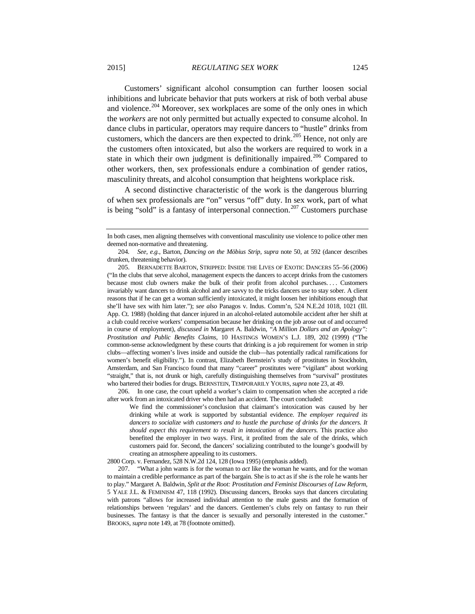<span id="page-50-4"></span>Customers' significant alcohol consumption can further loosen social inhibitions and lubricate behavior that puts workers at risk of both verbal abuse and violence.<sup>[204](#page-50-0)</sup> Moreover, sex workplaces are some of the only ones in which the *workers* are not only permitted but actually expected to consume alcohol. In dance clubs in particular, operators may require dancers to "hustle" drinks from customers, which the dancers are then expected to drink.<sup>[205](#page-50-1)</sup> Hence, not only are the customers often intoxicated, but also the workers are required to work in a state in which their own judgment is definitionally impaired.<sup>[206](#page-50-2)</sup> Compared to other workers, then, sex professionals endure a combination of gender ratios, masculinity threats, and alcohol consumption that heightens workplace risk.

<span id="page-50-5"></span>A second distinctive characteristic of the work is the dangerous blurring of when sex professionals are "on" versus "off" duty. In sex work, part of what is being "sold" is a fantasy of interpersonal connection.<sup>[207](#page-50-3)</sup> Customers purchase

<span id="page-50-2"></span>206. In one case, the court upheld a worker's claim to compensation when she accepted a ride after work from an intoxicated driver who then had an accident. The court concluded:

We find the commissioner's conclusion that claimant's intoxication was caused by her drinking while at work is supported by substantial evidence. *The employer required its dancers to socialize with customers and to hustle the purchase of drinks for the dancers. It should expect this requirement to result in intoxication of the dancers.* This practice also benefited the employer in two ways. First, it profited from the sale of the drinks, which customers paid for. Second, the dancers' socializing contributed to the lounge's goodwill by creating an atmosphere appealing to its customers.

2800 Corp. v. Fernandez, 528 N.W.2d 124, 128 (Iowa 1995) (emphasis added).

<span id="page-50-3"></span>207. "What a john wants is for the woman to *act* like the woman he wants, and for the woman to maintain a credible performance as part of the bargain. She is to act as if she *is* the role he wants her to play." Margaret A. Baldwin, *Split at the Root: Prostitution and Feminist Discourses of Law Reform*, 5 YALE J.L. & FEMINISM 47, 118 (1992). Discussing dancers, Brooks says that dancers circulating with patrons "allows for increased individual attention to the male guests and the formation of relationships between 'regulars' and the dancers. Gentlemen's clubs rely on fantasy to run their businesses. The fantasy is that the dancer is sexually and personally interested in the customer." BROOKS, *supra* not[e 149,](#page-38-0) at 78 (footnote omitted).

In both cases, men aligning themselves with conventional masculinity use violence to police other men deemed non-normative and threatening.

<span id="page-50-0"></span><sup>204</sup>*. See, e.g.*, Barton, *Dancing on the Möbius Strip*, *supra* note [50,](#page-16-0) at 592 (dancer describes drunken, threatening behavior).

<span id="page-50-1"></span><sup>205.</sup> BERNADETTE BARTON, STRIPPED: INSIDE THE LIVES OF EXOTIC DANCERS 55–56 (2006) ("In the clubs that serve alcohol, management expects the dancers to accept drinks from the customers because most club owners make the bulk of their profit from alcohol purchases. . . . Customers invariably want dancers to drink alcohol and are savvy to the tricks dancers use to stay sober. A client reasons that if he can get a woman sufficiently intoxicated, it might loosen her inhibitions enough that she'll have sex with him later."); *see also* Panagos v. Indus. Comm'n, 524 N.E.2d 1018, 1021 (Ill. App. Ct. 1988) (holding that dancer injured in an alcohol-related automobile accident after her shift at a club could receive workers' compensation because her drinking on the job arose out of and occurred in course of employment), *discussed in* Margaret A. Baldwin, *"A Million Dollars and an Apology": Prostitution and Public Benefits Claims*, 10 HASTINGS WOMEN'S L.J. 189, 202 (1999) ("The common-sense acknowledgment by these courts that drinking is a job requirement for women in strip clubs—affecting women's lives inside and outside the club—has potentially radical ramifications for women's benefit eligibility."). In contrast, Elizabeth Bernstein's study of prostitutes in Stockholm, Amsterdam, and San Francisco found that many "career" prostitutes were "vigilant" about working "straight," that is, not drunk or high, carefully distinguishing themselves from "survival" prostitutes who bartered their bodies for drugs. BERNSTEIN, TEMPORARILY YOURS, *supra* not[e 23,](#page-8-0) at 49.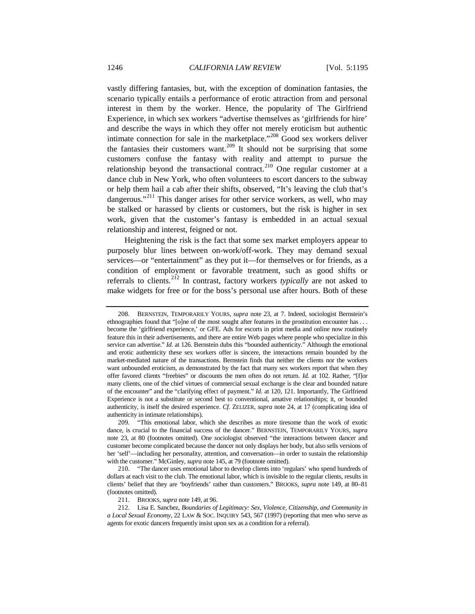vastly differing fantasies, but, with the exception of domination fantasies, the scenario typically entails a performance of erotic attraction from and personal interest in them by the worker. Hence, the popularity of The Girlfriend Experience, in which sex workers "advertise themselves as 'girlfriends for hire' and describe the ways in which they offer not merely eroticism but authentic intimate connection for sale in the marketplace."<sup>[208](#page-51-0)</sup> Good sex workers deliver the fantasies their customers want.<sup>[209](#page-51-1)</sup> It should not be surprising that some customers confuse the fantasy with reality and attempt to pursue the relationship beyond the transactional contract.<sup>[210](#page-51-2)</sup> One regular customer at a dance club in New York, who often volunteers to escort dancers to the subway or help them hail a cab after their shifts, observed, "It's leaving the club that's dangerous."<sup>[211](#page-51-3)</sup> This danger arises for other service workers, as well, who may be stalked or harassed by clients or customers, but the risk is higher in sex work, given that the customer's fantasy is embedded in an actual sexual relationship and interest, feigned or not.

Heightening the risk is the fact that some sex market employers appear to purposely blur lines between on-work/off-work. They may demand sexual services—or "entertainment" as they put it—for themselves or for friends, as a condition of employment or favorable treatment, such as good shifts or referrals to clients.[212](#page-51-4) In contrast, factory workers *typically* are not asked to make widgets for free or for the boss's personal use after hours. Both of these

<span id="page-51-0"></span><sup>208.</sup> BERNSTEIN, TEMPORARILY YOURS, *supra* note [23,](#page-8-0) at 7. Indeed, sociologist Bernstein's ethnographies found that "[o]ne of the most sought after features in the prostitution encounter has ... become the 'girlfriend experience,' or GFE. Ads for escorts in print media and online now routinely feature this in their advertisements, and there are entire Web pages where people who specialize in this service can advertise." *Id.* at 126. Bernstein dubs this "bounded authenticity." Although the emotional and erotic authenticity these sex workers offer is sincere, the interactions remain bounded by the market-mediated nature of the transactions. Bernstein finds that neither the clients nor the workers want unbounded eroticism, as demonstrated by the fact that many sex workers report that when they offer favored clients "freebies" or discounts the men often do not return. *Id.* at 102. Rather, "[f]or many clients, one of the chief virtues of commercial sexual exchange is the clear and bounded nature of the encounter" and the "clarifying effect of payment." *Id*. at 120, 121. Importantly, The Girlfriend Experience is not a substitute or second best to conventional, amative relationships; it, or bounded authenticity, is itself the desired experience. *Cf.* ZELIZER, *supra* note [24,](#page-8-1) at 17 (complicating idea of authenticity in intimate relationships).

<span id="page-51-1"></span><sup>209.</sup> "This emotional labor, which she describes as more tiresome than the work of exotic dance, is crucial to the financial success of the dancer." BERNSTEIN, TEMPORARILY YOURS, *supra* note [23,](#page-8-0) at 80 (footnotes omitted). One sociologist observed "the interactions between dancer and customer become complicated because the dancer not only displays her body, but also sells versions of her 'self'—including her personality, attention, and conversation—in order to sustain the relationship with the customer." McGinley, *supra* not[e 145,](#page-37-5) at 79 (footnote omitted).

<span id="page-51-2"></span><sup>210.</sup> "The dancer uses emotional labor to develop clients into 'regulars' who spend hundreds of dollars at each visit to the club. The emotional labor, which is invisible to the regular clients, results in clients' belief that they are 'boyfriends' rather than customers." BROOKS, *supra* note [149,](#page-38-0) at 80–81 (footnotes omitted).

<sup>211.</sup> BROOKS, *supra* not[e 149,](#page-38-0) at 96.

<span id="page-51-4"></span><span id="page-51-3"></span><sup>212.</sup> Lisa E. Sanchez, *Boundaries of Legitimacy: Sex, Violence, Citizenship, and Community in a Local Sexual Economy*, 22 LAW & SOC. INQUIRY 543, 567 (1997) (reporting that men who serve as agents for exotic dancers frequently insist upon sex as a condition for a referral).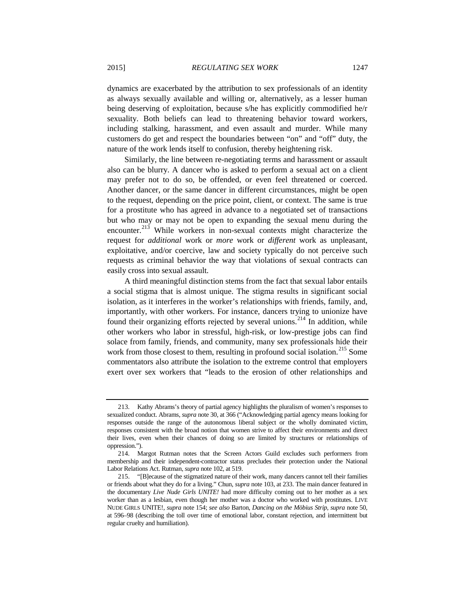dynamics are exacerbated by the attribution to sex professionals of an identity as always sexually available and willing or, alternatively, as a lesser human being deserving of exploitation, because s/he has explicitly commodified he/r sexuality. Both beliefs can lead to threatening behavior toward workers, including stalking, harassment, and even assault and murder. While many customers do get and respect the boundaries between "on" and "off" duty, the nature of the work lends itself to confusion, thereby heightening risk.

Similarly, the line between re-negotiating terms and harassment or assault also can be blurry. A dancer who is asked to perform a sexual act on a client may prefer not to do so, be offended, or even feel threatened or coerced. Another dancer, or the same dancer in different circumstances, might be open to the request, depending on the price point, client, or context. The same is true for a prostitute who has agreed in advance to a negotiated set of transactions but who may or may not be open to expanding the sexual menu during the encounter.<sup>[213](#page-52-0)</sup> While workers in non-sexual contexts might characterize the request for *additional* work or *more* work or *different* work as unpleasant, exploitative, and/or coercive, law and society typically do not perceive such requests as criminal behavior the way that violations of sexual contracts can easily cross into sexual assault.

A third meaningful distinction stems from the fact that sexual labor entails a social stigma that is almost unique. The stigma results in significant social isolation, as it interferes in the worker's relationships with friends, family, and, importantly, with other workers. For instance, dancers trying to unionize have found their organizing efforts rejected by several unions.<sup>[214](#page-52-1)</sup> In addition, while other workers who labor in stressful, high-risk, or low-prestige jobs can find solace from family, friends, and community, many sex professionals hide their work from those closest to them, resulting in profound social isolation.<sup>[215](#page-52-2)</sup> Some commentators also attribute the isolation to the extreme control that employers exert over sex workers that "leads to the erosion of other relationships and

<span id="page-52-0"></span><sup>213.</sup> Kathy Abrams's theory of partial agency highlights the pluralism of women's responses to sexualized conduct. Abrams, *supra* not[e 30,](#page-11-0) at 366 ("Acknowledging partial agency means looking for responses outside the range of the autonomous liberal subject or the wholly dominated victim, responses consistent with the broad notion that women strive to affect their environments and direct their lives, even when their chances of doing so are limited by structures or relationships of oppression.").

<span id="page-52-1"></span><sup>214.</sup> Margot Rutman notes that the Screen Actors Guild excludes such performers from membership and their independent-contractor status precludes their protection under the National Labor Relations Act. Rutman, *supra* not[e 102,](#page-28-0) at 519.

<span id="page-52-2"></span><sup>215.</sup> "[B]ecause of the stigmatized nature of their work, many dancers cannot tell their families or friends about what they do for a living." Chun, *supra* not[e 103,](#page-28-1) at 233. The main dancer featured in the documentary *Live Nude Girls UNITE!* had more difficulty coming out to her mother as a sex worker than as a lesbian, even though her mother was a doctor who worked with prostitutes. LIVE NUDE GIRLS UNITE!, *supra* not[e 154;](#page-39-6) *see also* Barton, *Dancing on the Möbius Strip*, *supra* not[e 50,](#page-16-0)  at 596–98 (describing the toll over time of emotional labor, constant rejection, and intermittent but regular cruelty and humiliation).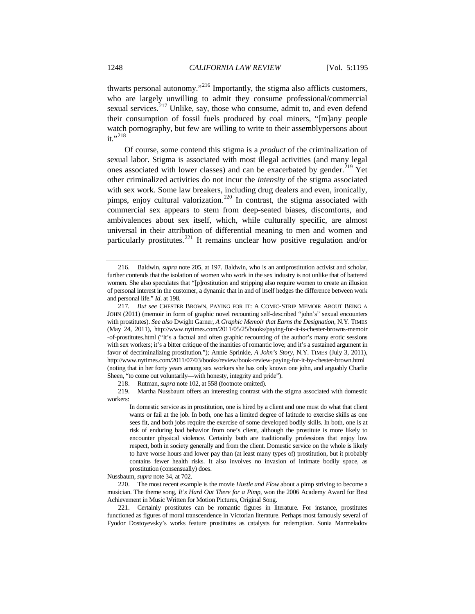thwarts personal autonomy."[216](#page-53-0) Importantly, the stigma also afflicts customers, who are largely unwilling to admit they consume professional/commercial sexual services.<sup>[217](#page-53-1)</sup> Unlike, say, those who consume, admit to, and even defend their consumption of fossil fuels produced by coal miners, "[m]any people watch pornography, but few are willing to write to their assemblypersons about  $it.$ "<sup>[218](#page-53-2)</sup>

Of course, some contend this stigma is a *product* of the criminalization of sexual labor. Stigma is associated with most illegal activities (and many legal ones associated with lower classes) and can be exacerbated by gender.<sup>[219](#page-53-3)</sup> Yet other criminalized activities do not incur the *intensity* of the stigma associated with sex work. Some law breakers, including drug dealers and even, ironically, pimps, enjoy cultural valorization.<sup>[220](#page-53-4)</sup> In contrast, the stigma associated with commercial sex appears to stem from deep-seated biases, discomforts, and ambivalences about sex itself, which, while culturally specific, are almost universal in their attribution of differential meaning to men and women and particularly prostitutes.[221](#page-53-5) It remains unclear how positive regulation and/or

218. Rutman, *supra* not[e 102,](#page-28-0) at 558 (footnote omitted).

<span id="page-53-3"></span><span id="page-53-2"></span>219. Martha Nussbaum offers an interesting contrast with the stigma associated with domestic workers:

Nussbaum, *supra* not[e 34,](#page-12-0) at 702.

<span id="page-53-0"></span><sup>216.</sup> Baldwin, *supra* note [205,](#page-50-4) at 197. Baldwin, who is an antiprostitution activist and scholar, further contends that the isolation of women who work in the sex industry is not unlike that of battered women. She also speculates that "[p]rostitution and stripping also require women to create an illusion of personal interest in the customer, a dynamic that in and of itself hedges the difference between work and personal life." *Id*. at 198.

<span id="page-53-1"></span><sup>217</sup>*. But see* CHESTER BROWN, PAYING FOR IT: A COMIC-STRIP MEMOIR ABOUT BEING A JOHN (2011) (memoir in form of graphic novel recounting self-described "john's" sexual encounters with prostitutes). *See also* Dwight Garner, *A Graphic Memoir that Earns the Designation*, N.Y. TIMES (May 24, 2011), http://www.nytimes.com/2011/05/25/books/paying-for-it-is-chester-browns-memoir -of-prostitutes.html ("It's a factual and often graphic recounting of the author's many erotic sessions with sex workers; it's a bitter critique of the inanities of romantic love; and it's a sustained argument in favor of decriminalizing prostitution."); Annie Sprinkle, *A John's Story*, N.Y. TIMES (July 3, 2011), http://www.nytimes.com/2011/07/03/books/review/book-review-paying-for-it-by-chester-brown.html (noting that in her forty years among sex workers she has only known one john, and arguably Charlie Sheen, "to come out voluntarily—with honesty, integrity and pride").

In domestic service as in prostitution, one is hired by a client and one must do what that client wants or fail at the job. In both, one has a limited degree of latitude to exercise skills as one sees fit, and both jobs require the exercise of some developed bodily skills. In both, one is at risk of enduring bad behavior from one's client, although the prostitute is more likely to encounter physical violence. Certainly both are traditionally professions that enjoy low respect, both in society generally and from the client. Domestic service on the whole is likely to have worse hours and lower pay than (at least many types of) prostitution, but it probably contains fewer health risks. It also involves no invasion of intimate bodily space, as prostitution (consensually) does.

<span id="page-53-4"></span><sup>220.</sup> The most recent example is the movie *Hustle and Flow* about a pimp striving to become a musician. The theme song, *It's Hard Out There for a Pimp*, won the 2006 Academy Award for Best Achievement in Music Written for Motion Pictures, Original Song.

<span id="page-53-5"></span><sup>221.</sup> Certainly prostitutes can be romantic figures in literature. For instance, prostitutes functioned as figures of moral transcendence in Victorian literature. Perhaps most famously several of Fyodor Dostoyevsky's works feature prostitutes as catalysts for redemption. Sonia Marmeladov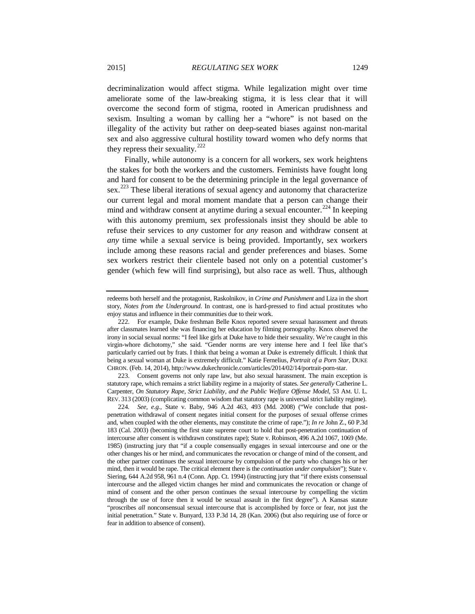decriminalization would affect stigma. While legalization might over time ameliorate some of the law-breaking stigma, it is less clear that it will overcome the second form of stigma, rooted in American prudishness and sexism. Insulting a woman by calling her a "whore" is not based on the illegality of the activity but rather on deep-seated biases against non-marital sex and also aggressive cultural hostility toward women who defy norms that they repress their sexuality.<sup>[222](#page-54-0)</sup>

Finally, while autonomy is a concern for all workers, sex work heightens the stakes for both the workers and the customers. Feminists have fought long and hard for consent to be the determining principle in the legal governance of sex.<sup>[223](#page-54-1)</sup> These liberal iterations of sexual agency and autonomy that characterize our current legal and moral moment mandate that a person can change their mind and withdraw consent at anytime during a sexual encounter.<sup>[224](#page-54-2)</sup> In keeping with this autonomy premium, sex professionals insist they should be able to refuse their services to *any* customer for *any* reason and withdraw consent at *any* time while a sexual service is being provided. Importantly, sex workers include among these reasons racial and gender preferences and biases. Some sex workers restrict their clientele based not only on a potential customer's gender (which few will find surprising), but also race as well. Thus, although

<span id="page-54-1"></span>223. Consent governs not only rape law, but also sexual harassment. The main exception is statutory rape, which remains a strict liability regime in a majority of states. *See generally* Catherine L. Carpenter, *On Statutory Rape, Strict Liability, and the Public Welfare Offense Model*, 53 AM. U. L. REV. 313 (2003) (complicating common wisdom that statutory rape is universal strict liability regime).

redeems both herself and the protagonist, Raskolnikov, in *Crime and Punishment* and Liza in the short story, *Notes from the Underground*. In contrast, one is hard-pressed to find actual prostitutes who enjoy status and influence in their communities due to their work.

<span id="page-54-0"></span><sup>222.</sup> For example, Duke freshman Belle Knox reported severe sexual harassment and threats after classmates learned she was financing her education by filming pornography. Knox observed the irony in social sexual norms: "I feel like girls at Duke have to hide their sexuality. We're caught in this virgin-whore dichotomy," she said. "Gender norms are very intense here and I feel like that's particularly carried out by frats. I think that being a woman at Duke is extremely difficult. I think that being a sexual woman at Duke is extremely difficult." Katie Fernelius, *Portrait of a Porn Star*, DUKE CHRON. (Feb. 14, 2014), http://www.dukechronicle.com/articles/2014/02/14/portrait-porn-star.

<span id="page-54-2"></span><sup>224</sup>*. See, e.g.*, State v. Baby, 946 A.2d 463, 493 (Md. 2008) ("We conclude that postpenetration withdrawal of consent negates initial consent for the purposes of sexual offense crimes and, when coupled with the other elements, may constitute the crime of rape."); *In re* John Z., 60 P.3d 183 (Cal. 2003) (becoming the first state supreme court to hold that post-penetration continuation of intercourse after consent is withdrawn constitutes rape); State v. Robinson*,* 496 A.2d 1067, 1069 (Me. 1985) (instructing jury that "if a couple consensually engages in sexual intercourse and one or the other changes his or her mind, and communicates the revocation or change of mind of the consent, and the other partner continues the sexual intercourse by compulsion of the party who changes his or her mind, then it would be rape. The critical element there is the *continuation under compulsion*"); State v. Siering*,* 644 A.2d 958, 961 n.4 (Conn. App. Ct. 1994) (instructing jury that "if there exists consensual intercourse and the alleged victim changes her mind and communicates the revocation or change of mind of consent and the other person continues the sexual intercourse by compelling the victim through the use of force then it would be sexual assault in the first degree"). A Kansas statute "proscribes *all* nonconsensual sexual intercourse that is accomplished by force or fear, not just the initial penetration." State v. Bunyard, 133 P.3d 14, 28 (Kan. 2006) (but also requiring use of force or fear in addition to absence of consent).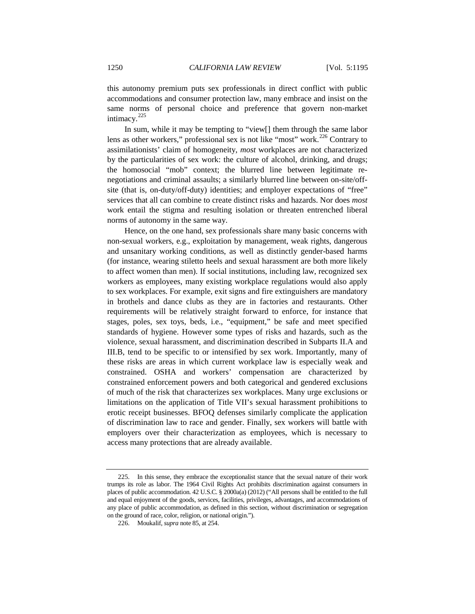this autonomy premium puts sex professionals in direct conflict with public accommodations and consumer protection law, many embrace and insist on the same norms of personal choice and preference that govern non-market intimacy.<sup>[225](#page-55-0)</sup>

In sum, while it may be tempting to "view[] them through the same labor lens as other workers," professional sex is not like "most" work.[226](#page-55-1) Contrary to assimilationists' claim of homogeneity, *most* workplaces are not characterized by the particularities of sex work: the culture of alcohol, drinking, and drugs; the homosocial "mob" context; the blurred line between legitimate renegotiations and criminal assaults; a similarly blurred line between on-site/offsite (that is, on-duty/off-duty) identities; and employer expectations of "free" services that all can combine to create distinct risks and hazards. Nor does *most* work entail the stigma and resulting isolation or threaten entrenched liberal norms of autonomy in the same way.

Hence, on the one hand, sex professionals share many basic concerns with non-sexual workers, e.g., exploitation by management, weak rights, dangerous and unsanitary working conditions, as well as distinctly gender-based harms (for instance, wearing stiletto heels and sexual harassment are both more likely to affect women than men). If social institutions, including law, recognized sex workers as employees, many existing workplace regulations would also apply to sex workplaces. For example, exit signs and fire extinguishers are mandatory in brothels and dance clubs as they are in factories and restaurants. Other requirements will be relatively straight forward to enforce, for instance that stages, poles, sex toys, beds, i.e., "equipment," be safe and meet specified standards of hygiene. However some types of risks and hazards, such as the violence, sexual harassment, and discrimination described in Subparts II.A and III.B, tend to be specific to or intensified by sex work. Importantly, many of these risks are areas in which current workplace law is especially weak and constrained. OSHA and workers' compensation are characterized by constrained enforcement powers and both categorical and gendered exclusions of much of the risk that characterizes sex workplaces. Many urge exclusions or limitations on the application of Title VII's sexual harassment prohibitions to erotic receipt businesses. BFOQ defenses similarly complicate the application of discrimination law to race and gender. Finally, sex workers will battle with employers over their characterization as employees, which is necessary to access many protections that are already available.

<span id="page-55-1"></span><span id="page-55-0"></span><sup>225.</sup> In this sense, they embrace the exceptionalist stance that the sexual nature of their work trumps its role as labor. The 1964 Civil Rights Act prohibits discrimination against consumers in places of public accommodation. 42 U.S.C. § 2000a(a) (2012) ("All persons shall be entitled to the full and equal enjoyment of the goods, services, facilities, privileges, advantages, and accommodations of any place of public accommodation, as defined in this section, without discrimination or segregation on the ground of race, color, religion, or national origin.").

<sup>226.</sup> Moukalif, *supra* not[e 85,](#page-24-0) at 254.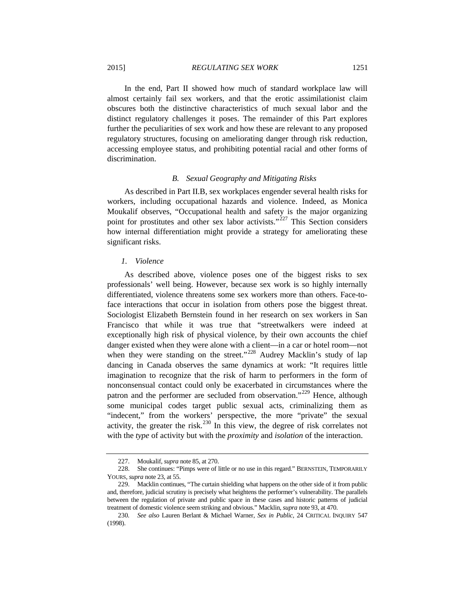2015] *REGULATING SEX WORK* 1251

In the end, Part II showed how much of standard workplace law will almost certainly fail sex workers, and that the erotic assimilationist claim obscures both the distinctive characteristics of much sexual labor and the distinct regulatory challenges it poses. The remainder of this Part explores further the peculiarities of sex work and how these are relevant to any proposed regulatory structures, focusing on ameliorating danger through risk reduction, accessing employee status, and prohibiting potential racial and other forms of discrimination.

## *B. Sexual Geography and Mitigating Risks*

As described in Part II.B, sex workplaces engender several health risks for workers, including occupational hazards and violence. Indeed, as Monica Moukalif observes, "Occupational health and safety is the major organizing point for prostitutes and other sex labor activists."<sup>[227](#page-56-0)</sup> This Section considers how internal differentiation might provide a strategy for ameliorating these significant risks.

## *1. Violence*

As described above, violence poses one of the biggest risks to sex professionals' well being. However, because sex work is so highly internally differentiated, violence threatens some sex workers more than others. Face-toface interactions that occur in isolation from others pose the biggest threat. Sociologist Elizabeth Bernstein found in her research on sex workers in San Francisco that while it was true that "streetwalkers were indeed at exceptionally high risk of physical violence, by their own accounts the chief danger existed when they were alone with a client—in a car or hotel room—not when they were standing on the street."<sup>[228](#page-56-1)</sup> Audrey Macklin's study of lap dancing in Canada observes the same dynamics at work: "It requires little imagination to recognize that the risk of harm to performers in the form of nonconsensual contact could only be exacerbated in circumstances where the patron and the performer are secluded from observation."<sup>[229](#page-56-2)</sup> Hence, although some municipal codes target public sexual acts, criminalizing them as "indecent," from the workers' perspective, the more "private" the sexual activity, the greater the risk.<sup>[230](#page-56-3)</sup> In this view, the degree of risk correlates not with the *type* of activity but with the *proximity* and *isolation* of the interaction.

<sup>227.</sup> Moukalif, *supra* not[e 85,](#page-24-0) at 270.

<span id="page-56-1"></span><span id="page-56-0"></span><sup>228.</sup> She continues: "Pimps were of little or no use in this regard." BERNSTEIN, TEMPORARILY YOURS, *supra* not[e 23,](#page-8-0) at 55.

<span id="page-56-2"></span><sup>229.</sup> Macklin continues, "The curtain shielding what happens on the other side of it from public and, therefore, judicial scrutiny is precisely what heightens the performer's vulnerability. The parallels between the regulation of private and public space in these cases and historic patterns of judicial treatment of domestic violence seem striking and obvious." Macklin, *supra* not[e 93,](#page-26-0) at 470.

<span id="page-56-3"></span><sup>230</sup>*. See also* Lauren Berlant & Michael Warner, *Sex in Public*, 24 CRITICAL INQUIRY 547 (1998).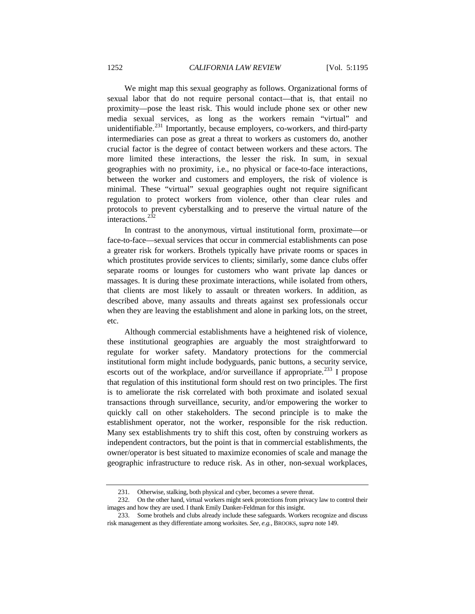We might map this sexual geography as follows. Organizational forms of sexual labor that do not require personal contact—that is, that entail no proximity—pose the least risk. This would include phone sex or other new media sexual services, as long as the workers remain "virtual" and unidentifiable.<sup>[231](#page-57-0)</sup> Importantly, because employers, co-workers, and third-party intermediaries can pose as great a threat to workers as customers do, another crucial factor is the degree of contact between workers and these actors. The more limited these interactions, the lesser the risk. In sum, in sexual geographies with no proximity, i.e., no physical or face-to-face interactions, between the worker and customers and employers, the risk of violence is minimal. These "virtual" sexual geographies ought not require significant regulation to protect workers from violence, other than clear rules and protocols to prevent cyberstalking and to preserve the virtual nature of the interactions.  $2\bar{3}2$ 

In contrast to the anonymous, virtual institutional form, proximate—or face-to-face—sexual services that occur in commercial establishments can pose a greater risk for workers. Brothels typically have private rooms or spaces in which prostitutes provide services to clients; similarly, some dance clubs offer separate rooms or lounges for customers who want private lap dances or massages. It is during these proximate interactions, while isolated from others, that clients are most likely to assault or threaten workers. In addition, as described above, many assaults and threats against sex professionals occur when they are leaving the establishment and alone in parking lots, on the street, etc.

Although commercial establishments have a heightened risk of violence, these institutional geographies are arguably the most straightforward to regulate for worker safety. Mandatory protections for the commercial institutional form might include bodyguards, panic buttons, a security service, escorts out of the workplace, and/or surveillance if appropriate.<sup>[233](#page-57-2)</sup> I propose that regulation of this institutional form should rest on two principles. The first is to ameliorate the risk correlated with both proximate and isolated sexual transactions through surveillance, security, and/or empowering the worker to quickly call on other stakeholders. The second principle is to make the establishment operator, not the worker, responsible for the risk reduction. Many sex establishments try to shift this cost, often by construing workers as independent contractors, but the point is that in commercial establishments, the owner/operator is best situated to maximize economies of scale and manage the geographic infrastructure to reduce risk. As in other, non-sexual workplaces,

<sup>231.</sup> Otherwise, stalking, both physical and cyber, becomes a severe threat.

<span id="page-57-1"></span><span id="page-57-0"></span><sup>232.</sup> On the other hand, virtual workers might seek protections from privacy law to control their images and how they are used. I thank Emily Danker-Feldman for this insight.

<span id="page-57-2"></span><sup>233.</sup> Some brothels and clubs already include these safeguards. Workers recognize and discuss risk management as they differentiate among worksites. *See, e.g.*, BROOKS, *supra* not[e 149.](#page-38-0)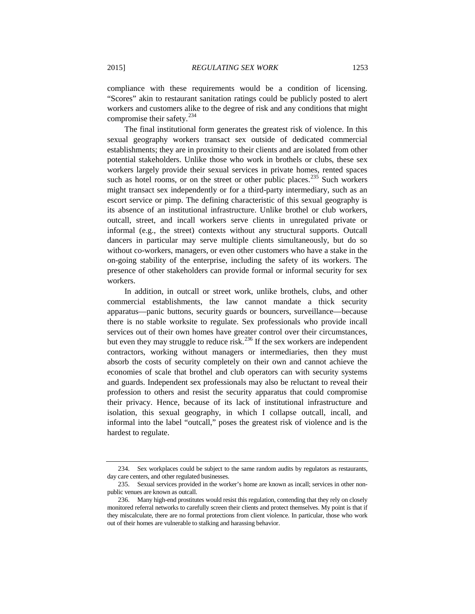compliance with these requirements would be a condition of licensing. "Scores" akin to restaurant sanitation ratings could be publicly posted to alert workers and customers alike to the degree of risk and any conditions that might compromise their safety.<sup>[234](#page-58-0)</sup>

The final institutional form generates the greatest risk of violence. In this sexual geography workers transact sex outside of dedicated commercial establishments; they are in proximity to their clients and are isolated from other potential stakeholders. Unlike those who work in brothels or clubs, these sex workers largely provide their sexual services in private homes, rented spaces such as hotel rooms, or on the street or other public places.<sup>[235](#page-58-1)</sup> Such workers might transact sex independently or for a third-party intermediary, such as an escort service or pimp. The defining characteristic of this sexual geography is its absence of an institutional infrastructure. Unlike brothel or club workers, outcall, street, and incall workers serve clients in unregulated private or informal (e.g., the street) contexts without any structural supports. Outcall dancers in particular may serve multiple clients simultaneously, but do so without co-workers, managers, or even other customers who have a stake in the on-going stability of the enterprise, including the safety of its workers. The presence of other stakeholders can provide formal or informal security for sex workers.

In addition, in outcall or street work, unlike brothels, clubs, and other commercial establishments, the law cannot mandate a thick security apparatus—panic buttons, security guards or bouncers, surveillance—because there is no stable worksite to regulate. Sex professionals who provide incall services out of their own homes have greater control over their circumstances, but even they may struggle to reduce risk.<sup>[236](#page-58-2)</sup> If the sex workers are independent contractors, working without managers or intermediaries, then they must absorb the costs of security completely on their own and cannot achieve the economies of scale that brothel and club operators can with security systems and guards. Independent sex professionals may also be reluctant to reveal their profession to others and resist the security apparatus that could compromise their privacy. Hence, because of its lack of institutional infrastructure and isolation, this sexual geography, in which I collapse outcall, incall, and informal into the label "outcall," poses the greatest risk of violence and is the hardest to regulate.

<span id="page-58-0"></span><sup>234.</sup> Sex workplaces could be subject to the same random audits by regulators as restaurants, day care centers, and other regulated businesses.

<span id="page-58-1"></span><sup>235.</sup> Sexual services provided in the worker's home are known as incall; services in other nonpublic venues are known as outcall.

<span id="page-58-2"></span><sup>236.</sup> Many high-end prostitutes would resist this regulation, contending that they rely on closely monitored referral networks to carefully screen their clients and protect themselves. My point is that if they miscalculate, there are no formal protections from client violence. In particular, those who work out of their homes are vulnerable to stalking and harassing behavior.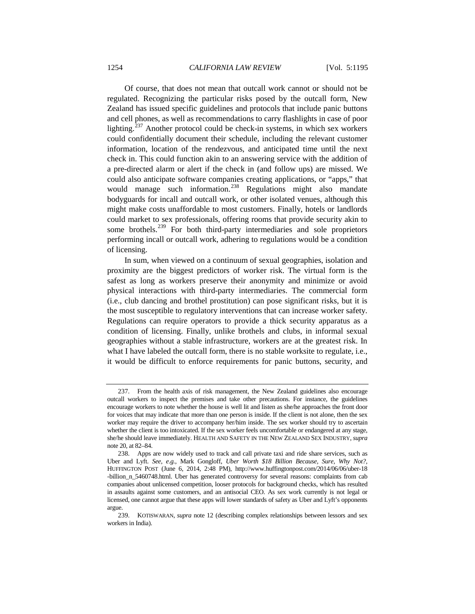Of course, that does not mean that outcall work cannot or should not be regulated. Recognizing the particular risks posed by the outcall form, New Zealand has issued specific guidelines and protocols that include panic buttons and cell phones, as well as recommendations to carry flashlights in case of poor lighting.<sup>[237](#page-59-0)</sup> Another protocol could be check-in systems, in which sex workers could confidentially document their schedule, including the relevant customer information, location of the rendezvous, and anticipated time until the next check in. This could function akin to an answering service with the addition of a pre-directed alarm or alert if the check in (and follow ups) are missed. We could also anticipate software companies creating applications, or "apps," that would manage such information.<sup>[238](#page-59-1)</sup> Regulations might also mandate bodyguards for incall and outcall work, or other isolated venues, although this might make costs unaffordable to most customers. Finally, hotels or landlords could market to sex professionals, offering rooms that provide security akin to some brothels.<sup>[239](#page-59-2)</sup> For both third-party intermediaries and sole proprietors performing incall or outcall work, adhering to regulations would be a condition of licensing.

In sum, when viewed on a continuum of sexual geographies, isolation and proximity are the biggest predictors of worker risk. The virtual form is the safest as long as workers preserve their anonymity and minimize or avoid physical interactions with third-party intermediaries. The commercial form (i.e., club dancing and brothel prostitution) can pose significant risks, but it is the most susceptible to regulatory interventions that can increase worker safety. Regulations can require operators to provide a thick security apparatus as a condition of licensing. Finally, unlike brothels and clubs, in informal sexual geographies without a stable infrastructure, workers are at the greatest risk. In what I have labeled the outcall form, there is no stable worksite to regulate, i.e., it would be difficult to enforce requirements for panic buttons, security, and

<span id="page-59-0"></span><sup>237.</sup> From the health axis of risk management, the New Zealand guidelines also encourage outcall workers to inspect the premises and take other precautions. For instance, the guidelines encourage workers to note whether the house is well lit and listen as she/he approaches the front door for voices that may indicate that more than one person is inside. If the client is not alone, then the sex worker may require the driver to accompany her/him inside. The sex worker should try to ascertain whether the client is too intoxicated. If the sex worker feels uncomfortable or endangered at any stage, she/he should leave immediately. HEALTH AND SAFETY IN THE NEW ZEALAND SEX INDUSTRY, *supra*  not[e 20,](#page-6-0) at 82–84.

<span id="page-59-1"></span><sup>238.</sup> Apps are now widely used to track and call private taxi and ride share services, such as Uber and Lyft. *See, e.g.*, Mark Gongloff, *Uber Worth \$18 Billion Because, Sure, Why Not?*, HUFFINGTON POST (June 6, 2014, 2:48 PM), http://www.huffingtonpost.com/2014/06/06/uber-18 -billion\_n\_5460748.html. Uber has generated controversy for several reasons: complaints from cab companies about unlicensed competition, looser protocols for background checks, which has resulted in assaults against some customers, and an antisocial CEO. As sex work currently is not legal or licensed, one cannot argue that these apps will lower standards of safety as Uber and Lyft's opponents argue.

<span id="page-59-2"></span><sup>239.</sup> KOTISWARAN, *supra* note [12](#page-4-1) (describing complex relationships between lessors and sex workers in India).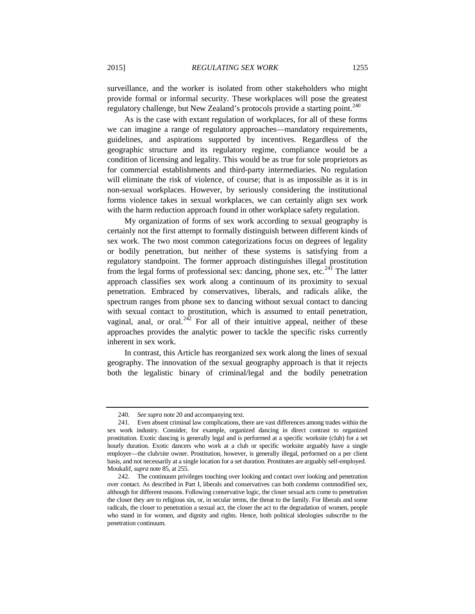surveillance, and the worker is isolated from other stakeholders who might provide formal or informal security. These workplaces will pose the greatest regulatory challenge, but New Zealand's protocols provide a starting point.<sup>[240](#page-60-0)</sup>

As is the case with extant regulation of workplaces, for all of these forms we can imagine a range of regulatory approaches—mandatory requirements, guidelines, and aspirations supported by incentives. Regardless of the geographic structure and its regulatory regime, compliance would be a condition of licensing and legality. This would be as true for sole proprietors as for commercial establishments and third-party intermediaries. No regulation will eliminate the risk of violence, of course; that is as impossible as it is in non-sexual workplaces. However, by seriously considering the institutional forms violence takes in sexual workplaces, we can certainly align sex work with the harm reduction approach found in other workplace safety regulation.

My organization of forms of sex work according to sexual geography is certainly not the first attempt to formally distinguish between different kinds of sex work. The two most common categorizations focus on degrees of legality or bodily penetration, but neither of these systems is satisfying from a regulatory standpoint. The former approach distinguishes illegal prostitution from the legal forms of professional sex: dancing, phone sex, etc.<sup>[241](#page-60-1)</sup> The latter approach classifies sex work along a continuum of its proximity to sexual penetration. Embraced by conservatives, liberals, and radicals alike, the spectrum ranges from phone sex to dancing without sexual contact to dancing with sexual contact to prostitution, which is assumed to entail penetration, vaginal, anal, or oral.<sup>[242](#page-60-2)</sup> For all of their intuitive appeal, neither of these approaches provides the analytic power to tackle the specific risks currently inherent in sex work.

In contrast, this Article has reorganized sex work along the lines of sexual geography. The innovation of the sexual geography approach is that it rejects both the legalistic binary of criminal/legal and the bodily penetration

<sup>240</sup>*. See supra* not[e 20](#page-6-0) and accompanying text.

<span id="page-60-1"></span><span id="page-60-0"></span><sup>241.</sup> Even absent criminal law complications, there are vast differences among trades within the sex work industry. Consider, for example, organized dancing in direct contrast to organized prostitution. Exotic dancing is generally legal and is performed at a specific worksite (club) for a set hourly duration. Exotic dancers who work at a club or specific worksite arguably have a single employer—the club/site owner. Prostitution, however, is generally illegal, performed on a per client basis, and not necessarily at a single location for a set duration. Prostitutes are arguably self-employed. Moukalif, *supra* not[e 85,](#page-24-0) at 255.

<span id="page-60-2"></span><sup>242.</sup> The continuum privileges touching over looking and contact over looking and penetration over contact. As described in Part I, liberals and conservatives can both condemn commodified sex, although for different reasons. Following conservative logic, the closer sexual acts come to penetration the closer they are to religious sin, or, in secular terms, the threat to the family. For liberals and some radicals, the closer to penetration a sexual act, the closer the act to the degradation of women, people who stand in for women, and dignity and rights. Hence, both political ideologies subscribe to the penetration continuum.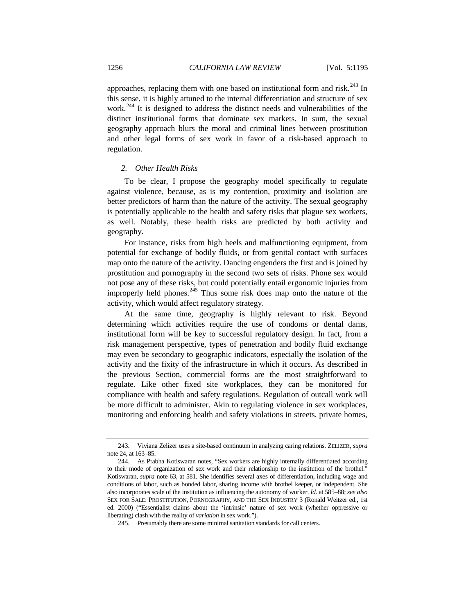approaches, replacing them with one based on institutional form and risk.<sup>[243](#page-61-0)</sup> In this sense, it is highly attuned to the internal differentiation and structure of sex work.<sup>[244](#page-61-1)</sup> It is designed to address the distinct needs and vulnerabilities of the distinct institutional forms that dominate sex markets. In sum, the sexual geography approach blurs the moral and criminal lines between prostitution and other legal forms of sex work in favor of a risk-based approach to regulation.

# *2. Other Health Risks*

To be clear, I propose the geography model specifically to regulate against violence, because, as is my contention, proximity and isolation are better predictors of harm than the nature of the activity. The sexual geography is potentially applicable to the health and safety risks that plague sex workers, as well. Notably, these health risks are predicted by both activity and geography.

For instance, risks from high heels and malfunctioning equipment, from potential for exchange of bodily fluids, or from genital contact with surfaces map onto the nature of the activity. Dancing engenders the first and is joined by prostitution and pornography in the second two sets of risks. Phone sex would not pose any of these risks, but could potentially entail ergonomic injuries from improperly held phones. $^{245}$  $^{245}$  $^{245}$  Thus some risk does map onto the nature of the activity, which would affect regulatory strategy.

At the same time, geography is highly relevant to risk. Beyond determining which activities require the use of condoms or dental dams, institutional form will be key to successful regulatory design. In fact, from a risk management perspective, types of penetration and bodily fluid exchange may even be secondary to geographic indicators, especially the isolation of the activity and the fixity of the infrastructure in which it occurs. As described in the previous Section, commercial forms are the most straightforward to regulate. Like other fixed site workplaces, they can be monitored for compliance with health and safety regulations. Regulation of outcall work will be more difficult to administer. Akin to regulating violence in sex workplaces, monitoring and enforcing health and safety violations in streets, private homes,

<span id="page-61-0"></span><sup>243.</sup> Viviana Zelizer uses a site-based continuum in analyzing caring relations. ZELIZER, *supra*  not[e 24,](#page-8-1) at 163–85.

<span id="page-61-1"></span><sup>244.</sup> As Prabha Kotiswaran notes, "Sex workers are highly internally differentiated according to their mode of organization of sex work and their relationship to the institution of the brothel." Kotiswaran, *supra* not[e 63,](#page-19-0) at 581. She identifies several axes of differentiation, including wage and conditions of labor, such as bonded labor, sharing income with brothel keeper, or independent. She also incorporates scale of the institution as influencing the autonomy of worker. *Id*. at 585–88; *see also* SEX FOR SALE: PROSTITUTION, PORNOGRAPHY, AND THE SEX INDUSTRY 3 (Ronald Weitzer ed., 1st ed. 2000) ("Essentialist claims about the 'intrinsic' nature of sex work (whether oppressive or liberating) clash with the reality of *variation* in sex work.").

<span id="page-61-2"></span><sup>245.</sup> Presumably there are some minimal sanitation standards for call centers.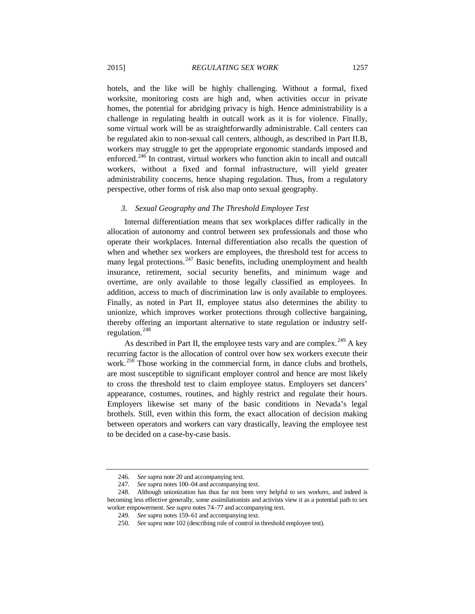hotels, and the like will be highly challenging. Without a formal, fixed worksite, monitoring costs are high and, when activities occur in private homes, the potential for abridging privacy is high. Hence administrability is a challenge in regulating health in outcall work as it is for violence. Finally, some virtual work will be as straightforwardly administrable. Call centers can be regulated akin to non-sexual call centers, although, as described in Part II.B, workers may struggle to get the appropriate ergonomic standards imposed and enforced.<sup>[246](#page-62-0)</sup> In contrast, virtual workers who function akin to incall and outcall workers, without a fixed and formal infrastructure, will yield greater administrability concerns, hence shaping regulation. Thus, from a regulatory perspective, other forms of risk also map onto sexual geography.

# *3. Sexual Geography and The Threshold Employee Test*

Internal differentiation means that sex workplaces differ radically in the allocation of autonomy and control between sex professionals and those who operate their workplaces. Internal differentiation also recalls the question of when and whether sex workers are employees, the threshold test for access to many legal protections. $^{247}$  $^{247}$  $^{247}$  Basic benefits, including unemployment and health insurance, retirement, social security benefits, and minimum wage and overtime, are only available to those legally classified as employees. In addition, access to much of discrimination law is only available to employees. Finally, as noted in Part II, employee status also determines the ability to unionize, which improves worker protections through collective bargaining, thereby offering an important alternative to state regulation or industry selfregulation. $248$ 

As described in Part II, the employee tests vary and are complex.<sup>[249](#page-62-3)</sup> A key recurring factor is the allocation of control over how sex workers execute their work.<sup>[250](#page-62-4)</sup> Those working in the commercial form, in dance clubs and brothels, are most susceptible to significant employer control and hence are most likely to cross the threshold test to claim employee status. Employers set dancers' appearance, costumes, routines, and highly restrict and regulate their hours. Employers likewise set many of the basic conditions in Nevada's legal brothels. Still, even within this form, the exact allocation of decision making between operators and workers can vary drastically, leaving the employee test to be decided on a case-by-case basis.

<sup>246</sup>*. See supra* not[e 20](#page-6-0) and accompanying text.

<sup>247</sup>*. See supra* note[s 100–](#page-28-2)04 and accompanying text.

<span id="page-62-4"></span><span id="page-62-3"></span><span id="page-62-2"></span><span id="page-62-1"></span><span id="page-62-0"></span><sup>248.</sup> Although unionization has thus far not been very helpful to sex workers, and indeed is becoming less effective generally, some assimilationists and activists view it as a potential path to sex worker empowerment. *See supra* notes 74–77 and accompanying text.

<sup>249</sup>*. See supra* notes 159–61 and accompanying text.

<sup>250</sup>*. See supra* note 102 (describing role of control in threshold employee test).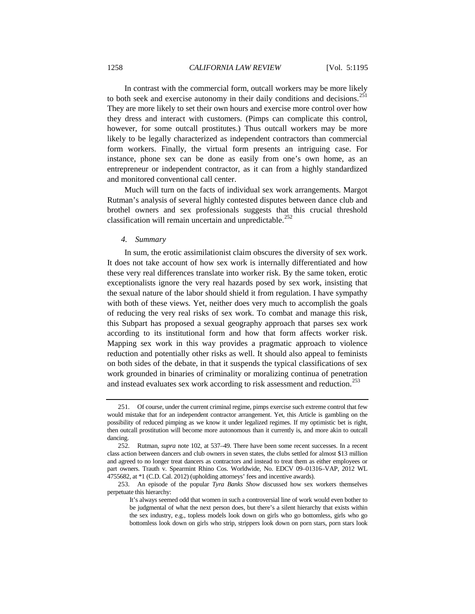In contrast with the commercial form, outcall workers may be more likely to both seek and exercise autonomy in their daily conditions and decisions.<sup>[251](#page-63-0)</sup> They are more likely to set their own hours and exercise more control over how they dress and interact with customers. (Pimps can complicate this control, however, for some outcall prostitutes.) Thus outcall workers may be more likely to be legally characterized as independent contractors than commercial form workers. Finally, the virtual form presents an intriguing case. For instance, phone sex can be done as easily from one's own home, as an entrepreneur or independent contractor, as it can from a highly standardized and monitored conventional call center.

Much will turn on the facts of individual sex work arrangements. Margot Rutman's analysis of several highly contested disputes between dance club and brothel owners and sex professionals suggests that this crucial threshold classification will remain uncertain and unpredictable.<sup>[252](#page-63-1)</sup>

# *4. Summary*

In sum, the erotic assimilationist claim obscures the diversity of sex work. It does not take account of how sex work is internally differentiated and how these very real differences translate into worker risk. By the same token, erotic exceptionalists ignore the very real hazards posed by sex work, insisting that the sexual nature of the labor should shield it from regulation. I have sympathy with both of these views. Yet, neither does very much to accomplish the goals of reducing the very real risks of sex work. To combat and manage this risk, this Subpart has proposed a sexual geography approach that parses sex work according to its institutional form and how that form affects worker risk. Mapping sex work in this way provides a pragmatic approach to violence reduction and potentially other risks as well. It should also appeal to feminists on both sides of the debate, in that it suspends the typical classifications of sex work grounded in binaries of criminality or moralizing continua of penetration and instead evaluates sex work according to risk assessment and reduction.<sup>[253](#page-63-2)</sup>

<span id="page-63-0"></span><sup>251.</sup> Of course, under the current criminal regime, pimps exercise such extreme control that few would mistake that for an independent contractor arrangement. Yet, this Article is gambling on the possibility of reduced pimping as we know it under legalized regimes. If my optimistic bet is right, then outcall prostitution will become more autonomous than it currently is, and more akin to outcall dancing.<br>252.

<span id="page-63-1"></span><sup>252.</sup> Rutman, *supra* note [102,](#page-28-0) at 537–49. There have been some recent successes. In a recent class action between dancers and club owners in seven states, the clubs settled for almost \$13 million and agreed to no longer treat dancers as contractors and instead to treat them as either employees or part owners. Trauth v. Spearmint Rhino Cos. Worldwide, No. EDCV 09–01316–VAP, 2012 WL 4755682, at \*1 (C.D. Cal. 2012) (upholding attorneys' fees and incentive awards).

<span id="page-63-2"></span><sup>253.</sup> An episode of the popular *Tyra Banks Show* discussed how sex workers themselves perpetuate this hierarchy:

It's always seemed odd that women in such a controversial line of work would even bother to be judgmental of what the next person does, but there's a silent hierarchy that exists within the sex industry, e.g., topless models look down on girls who go bottomless, girls who go bottomless look down on girls who strip, strippers look down on porn stars, porn stars look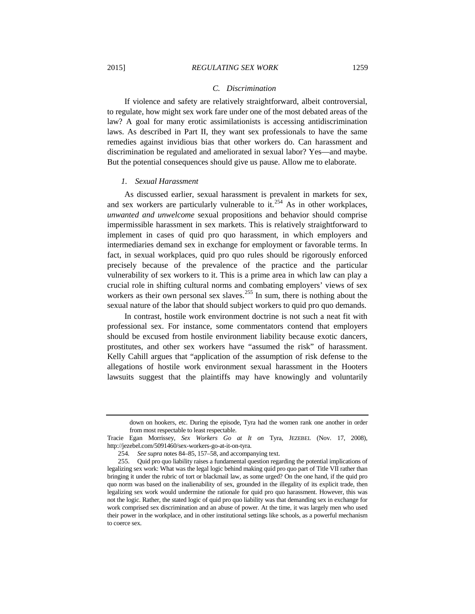If violence and safety are relatively straightforward, albeit controversial, to regulate, how might sex work fare under one of the most debated areas of the law? A goal for many erotic assimilationists is accessing antidiscrimination laws. As described in Part II, they want sex professionals to have the same remedies against invidious bias that other workers do. Can harassment and discrimination be regulated and ameliorated in sexual labor? Yes—and maybe. But the potential consequences should give us pause. Allow me to elaborate.

## *1. Sexual Harassment*

As discussed earlier, sexual harassment is prevalent in markets for sex, and sex workers are particularly vulnerable to  $i$ ,  $254$  As in other workplaces, *unwanted and unwelcome* sexual propositions and behavior should comprise impermissible harassment in sex markets. This is relatively straightforward to implement in cases of quid pro quo harassment, in which employers and intermediaries demand sex in exchange for employment or favorable terms. In fact, in sexual workplaces, quid pro quo rules should be rigorously enforced precisely because of the prevalence of the practice and the particular vulnerability of sex workers to it. This is a prime area in which law can play a crucial role in shifting cultural norms and combating employers' views of sex workers as their own personal sex slaves.<sup>[255](#page-64-1)</sup> In sum, there is nothing about the sexual nature of the labor that should subject workers to quid pro quo demands.

In contrast, hostile work environment doctrine is not such a neat fit with professional sex. For instance, some commentators contend that employers should be excused from hostile environment liability because exotic dancers, prostitutes, and other sex workers have "assumed the risk" of harassment. Kelly Cahill argues that "application of the assumption of risk defense to the allegations of hostile work environment sexual harassment in the Hooters lawsuits suggest that the plaintiffs may have knowingly and voluntarily

down on hookers, etc. During the episode, Tyra had the women rank one another in order from most respectable to least respectable.

Tracie Egan Morrissey, *Sex Workers Go at It on* Tyra, JEZEBEL (Nov. 17, 2008), http://jezebel.com/5091460/sex-workers-go-at-it-on-tyra.

<sup>254</sup>*. See supra* notes 84–85, 157–58, and accompanying text.

<span id="page-64-1"></span><span id="page-64-0"></span><sup>255.</sup> Quid pro quo liability raises a fundamental question regarding the potential implications of legalizing sex work: What was the legal logic behind making quid pro quo part of Title VII rather than bringing it under the rubric of tort or blackmail law, as some urged? On the one hand, if the quid pro quo norm was based on the inalienability of sex, grounded in the illegality of its explicit trade, then legalizing sex work would undermine the rationale for quid pro quo harassment. However, this was not the logic. Rather, the stated logic of quid pro quo liability was that demanding sex in exchange for work comprised sex discrimination and an abuse of power. At the time, it was largely men who used their power in the workplace, and in other institutional settings like schools, as a powerful mechanism to coerce sex.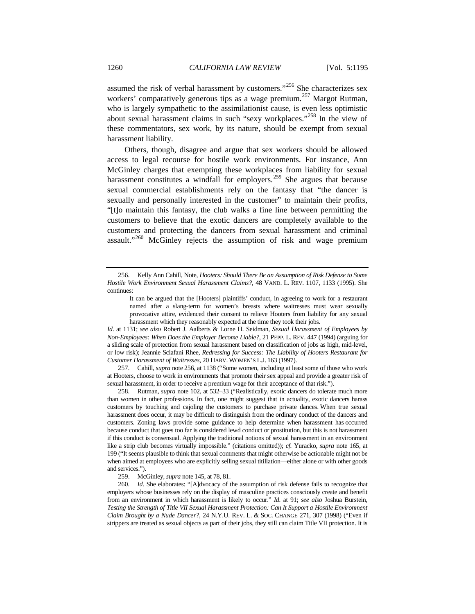<span id="page-65-0"></span>assumed the risk of verbal harassment by customers."<sup>[256](#page-65-1)</sup> She characterizes sex workers' comparatively generous tips as a wage premium.<sup>[257](#page-65-2)</sup> Margot Rutman, who is largely sympathetic to the assimilationist cause, is even less optimistic about sexual harassment claims in such "sexy workplaces."<sup>[258](#page-65-3)</sup> In the view of these commentators, sex work, by its nature, should be exempt from sexual harassment liability.

Others, though, disagree and argue that sex workers should be allowed access to legal recourse for hostile work environments. For instance, Ann McGinley charges that exempting these workplaces from liability for sexual harassment constitutes a windfall for employers.<sup>[259](#page-65-4)</sup> She argues that because sexual commercial establishments rely on the fantasy that "the dancer is sexually and personally interested in the customer" to maintain their profits, "[t]o maintain this fantasy, the club walks a fine line between permitting the customers to believe that the exotic dancers are completely available to the customers and protecting the dancers from sexual harassment and criminal assault."<sup>[260](#page-65-5)</sup> McGinley rejects the assumption of risk and wage premium

*Id*. at 1131; *see also* Robert J. Aalberts & Lorne H. Seidman, *Sexual Harassment of Employees by Non-Employees: When Does the Employer Become Liable?*, 21 PEPP. L. REV. 447 (1994) (arguing for a sliding scale of protection from sexual harassment based on classification of jobs as high, mid-level, or low risk); Jeannie Sclafani Rhee, *Redressing for Success: The Liability of Hooters Restaurant for Customer Harassment of Waitresses*, 20 HARV. WOMEN'S L.J. 163 (1997).

<span id="page-65-2"></span>257. Cahill, *supra* not[e 256,](#page-65-0) at 1138 ("Some women, including at least some of those who work at Hooters, choose to work in environments that promote their sex appeal and provide a greater risk of sexual harassment, in order to receive a premium wage for their acceptance of that risk.").

<span id="page-65-3"></span>258. Rutman, *supra* not[e 102,](#page-28-0) at 532–33 ("Realistically, exotic dancers do tolerate much more than women in other professions. In fact, one might suggest that in actuality, exotic dancers harass customers by touching and cajoling the customers to purchase private dances. When true sexual harassment does occur, it may be difficult to distinguish from the ordinary conduct of the dancers and customers. Zoning laws provide some guidance to help determine when harassment has occurred because conduct that goes too far is considered lewd conduct or prostitution, but this is not harassment if this conduct is consensual. Applying the traditional notions of sexual harassment in an environment like a strip club becomes virtually impossible." (citations omitted)); *cf.* Yuracko, *supra* not[e 165,](#page-41-0) at 199 ("It seems plausible to think that sexual comments that might otherwise be actionable might not be when aimed at employees who are explicitly selling sexual titillation—either alone or with other goods and services.").

259. McGinley, *supra* not[e 145,](#page-37-5) at 78, 81.

<span id="page-65-5"></span><span id="page-65-4"></span>260*. Id*. She elaborates: "[A]dvocacy of the assumption of risk defense fails to recognize that employers whose businesses rely on the display of masculine practices consciously create and benefit from an environment in which harassment is likely to occur." *Id.* at 91; *see also* Joshua Burstein, *Testing the Strength of Title VII Sexual Harassment Protection: Can It Support a Hostile Environment Claim Brought by a Nude Dancer?*, 24 N.Y.U. REV. L. & SOC. CHANGE 271, 307 (1998) ("Even if strippers are treated as sexual objects as part of their jobs, they still can claim Title VII protection. It is

<span id="page-65-6"></span><span id="page-65-1"></span><sup>256.</sup> Kelly Ann Cahill, Note, *Hooters: Should There Be an Assumption of Risk Defense to Some Hostile Work Environment Sexual Harassment Claims?*, 48 VAND. L. REV. 1107, 1133 (1995). She continues:

It can be argued that the [Hooters] plaintiffs' conduct, in agreeing to work for a restaurant named after a slang-term for women's breasts where waitresses must wear sexually provocative attire, evidenced their consent to relieve Hooters from liability for any sexual harassment which they reasonably expected at the time they took their jobs.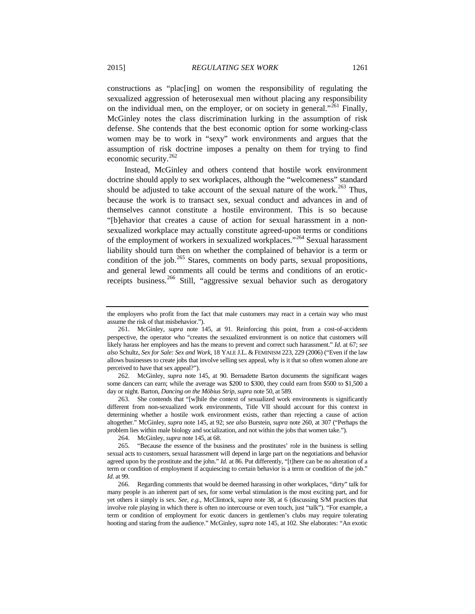<span id="page-66-6"></span>constructions as "plac[ing] on women the responsibility of regulating the sexualized aggression of heterosexual men without placing any responsibility on the individual men, on the employer, or on society in general."<sup>[261](#page-66-0)</sup> Finally, McGinley notes the class discrimination lurking in the assumption of risk defense. She contends that the best economic option for some working-class women may be to work in "sexy" work environments and argues that the assumption of risk doctrine imposes a penalty on them for trying to find economic security.<sup>[262](#page-66-1)</sup>

Instead, McGinley and others contend that hostile work environment doctrine should apply to sex workplaces, although the "welcomeness" standard should be adjusted to take account of the sexual nature of the work.<sup>[263](#page-66-2)</sup> Thus, because the work is to transact sex, sexual conduct and advances in and of themselves cannot constitute a hostile environment. This is so because "[b]ehavior that creates a cause of action for sexual harassment in a nonsexualized workplace may actually constitute agreed-upon terms or conditions of the employment of workers in sexualized workplaces."[264](#page-66-3) Sexual harassment liability should turn then on whether the complained of behavior is a term or condition of the job. $265$  Stares, comments on body parts, sexual propositions, and general lewd comments all could be terms and conditions of an erotic-receipts business.<sup>[266](#page-66-5)</sup> Still, "aggressive sexual behavior such as derogatory

<span id="page-66-1"></span>262. McGinley, *supra* note [145,](#page-37-5) at 90. Bernadette Barton documents the significant wages some dancers can earn; while the average was \$200 to \$300, they could earn from \$500 to \$1,500 a day or night. Barton, *Dancing on the Möbius Strip*, *supra* not[e 50,](#page-16-0) at 589.

<span id="page-66-2"></span>263. She contends that "[w]hile the context of sexualized work environments is significantly different from non-sexualized work environments, Title VII should account for this context in determining whether a hostile work environment exists, rather than rejecting a cause of action altogether." McGinley, *supra* note [145,](#page-37-5) at 92; *see also* Burstein, *supra* not[e 260,](#page-65-6) at 307 ("Perhaps the problem lies within male biology and socialization, and not within the jobs that women take.").

the employers who profit from the fact that male customers may react in a certain way who must assume the risk of that misbehavior.").

<span id="page-66-0"></span><sup>261.</sup> McGinley, *supra* note [145,](#page-37-5) at 91. Reinforcing this point, from a cost-of-accidents perspective, the operator who "creates the sexualized environment is on notice that customers will likely harass her employees and has the means to prevent and correct such harassment." *Id*. at 67; *see also* Schultz, *Sex for Sale: Sex and Work*, 18 YALE J.L. & FEMINISM 223, 229 (2006) ("Even if the law allows businesses to create jobs that involve selling sex appeal, why is it that so often women alone are perceived to have that sex appeal?").

<sup>264.</sup> McGinley, *supra* not[e 145,](#page-37-5) at 68.

<span id="page-66-4"></span><span id="page-66-3"></span><sup>265.</sup> "Because the essence of the business and the prostitutes' role in the business is selling sexual acts to customers, sexual harassment will depend in large part on the negotiations and behavior agreed upon by the prostitute and the john." *Id.* at 86. Put differently, "[t]here can be no alteration of a term or condition of employment if acquiescing to certain behavior is a term or condition of the job." *Id*. at 99.

<span id="page-66-5"></span><sup>266.</sup> Regarding comments that would be deemed harassing in other workplaces, "dirty" talk for many people is an inherent part of sex, for some verbal stimulation is the most exciting part, and for yet others it simply is sex. *See, e.g.*, McClintock, *supra* note [38,](#page-13-0) at 6 (discussing S/M practices that involve role playing in which there is often no intercourse or even touch, just "talk"). "For example, a term or condition of employment for exotic dancers in gentlemen's clubs may require tolerating hooting and staring from the audience." McGinley, *supra* not[e 145,](#page-37-5) at 102. She elaborates: "An exotic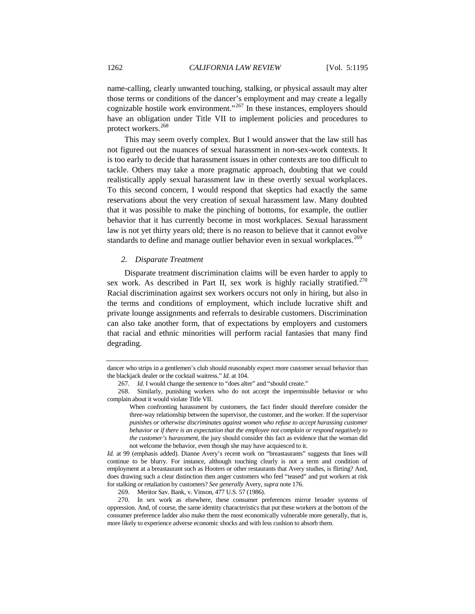name-calling, clearly unwanted touching, stalking, or physical assault may alter those terms or conditions of the dancer's employment and may create a legally cognizable hostile work environment."<sup>[267](#page-67-0)</sup> In these instances, employers should have an obligation under Title VII to implement policies and procedures to protect workers.<sup>[268](#page-67-1)</sup>

This may seem overly complex. But I would answer that the law still has not figured out the nuances of sexual harassment in *non*-sex-work contexts. It is too early to decide that harassment issues in other contexts are too difficult to tackle. Others may take a more pragmatic approach, doubting that we could realistically apply sexual harassment law in these overtly sexual workplaces. To this second concern, I would respond that skeptics had exactly the same reservations about the very creation of sexual harassment law. Many doubted that it was possible to make the pinching of bottoms, for example, the outlier behavior that it has currently become in most workplaces. Sexual harassment law is not yet thirty years old; there is no reason to believe that it cannot evolve standards to define and manage outlier behavior even in sexual workplaces.<sup>[269](#page-67-2)</sup>

## *2. Disparate Treatment*

Disparate treatment discrimination claims will be even harder to apply to sex work. As described in Part II, sex work is highly racially stratified.<sup>[270](#page-67-3)</sup> Racial discrimination against sex workers occurs not only in hiring, but also in the terms and conditions of employment, which include lucrative shift and private lounge assignments and referrals to desirable customers. Discrimination can also take another form, that of expectations by employers and customers that racial and ethnic minorities will perform racial fantasies that many find degrading.

dancer who strips in a gentlemen's club should reasonably expect more customer sexual behavior than the blackjack dealer or the cocktail waitress." *Id*. at 104.

<sup>267</sup>*. Id*. I would change the sentence to "does alter" and "should create."

<span id="page-67-1"></span><span id="page-67-0"></span><sup>268.</sup> Similarly, punishing workers who do not accept the impermissible behavior or who complain about it would violate Title VII.

When confronting harassment by customers, the fact finder should therefore consider the three-way relationship between the supervisor, the customer, and the worker. If the supervisor *punishes or otherwise discriminates against women who refuse to accept harassing customer behavior* or *if there is an expectation that the employee not complain or respond negatively to the customer's harassment*, the jury should consider this fact as evidence that the woman did not welcome the behavior, even though she may have acquiesced to it.

*Id.* at 99 (emphasis added). Dianne Avery's recent work on "breastaurants" suggests that lines will continue to be blurry. For instance, although touching clearly is not a term and condition of employment at a breastaurant such as Hooters or other restaurants that Avery studies, is flirting? And, does drawing such a clear distinction then anger customers who feel "teased" and put workers at risk for stalking or retaliation by customers? *See generally* Avery, *supra* not[e 176.](#page-43-4)

<sup>269.</sup> Meritor Sav. Bank, v. Vinson, 477 U.S. 57 (1986).

<span id="page-67-3"></span><span id="page-67-2"></span><sup>270.</sup> In sex work as elsewhere, these consumer preferences mirror broader systems of oppression. And, of course, the same identity characteristics that put these workers at the bottom of the consumer preference ladder also make them the most economically vulnerable more generally, that is, more likely to experience adverse economic shocks and with less cushion to absorb them.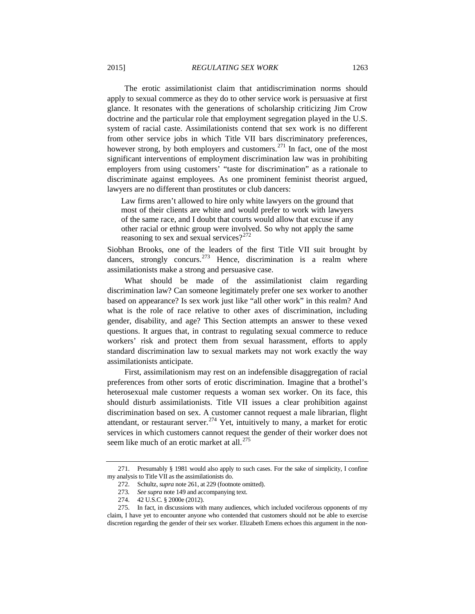The erotic assimilationist claim that antidiscrimination norms should apply to sexual commerce as they do to other service work is persuasive at first glance. It resonates with the generations of scholarship criticizing Jim Crow doctrine and the particular role that employment segregation played in the U.S. system of racial caste. Assimilationists contend that sex work is no different from other service jobs in which Title VII bars discriminatory preferences, however strong, by both employers and customers.<sup>[271](#page-68-1)</sup> In fact, one of the most significant interventions of employment discrimination law was in prohibiting employers from using customers' "taste for discrimination" as a rationale to discriminate against employees. As one prominent feminist theorist argued, lawyers are no different than prostitutes or club dancers:

Law firms aren't allowed to hire only white lawyers on the ground that most of their clients are white and would prefer to work with lawyers of the same race, and I doubt that courts would allow that excuse if any other racial or ethnic group were involved. So why not apply the same reasoning to sex and sexual services? $2^{272}$  $2^{272}$  $2^{272}$ 

Siobhan Brooks, one of the leaders of the first Title VII suit brought by dancers, strongly concurs.<sup>[273](#page-68-3)</sup> Hence, discrimination is a realm where assimilationists make a strong and persuasive case.

What should be made of the assimilationist claim regarding discrimination law? Can someone legitimately prefer one sex worker to another based on appearance? Is sex work just like "all other work" in this realm? And what is the role of race relative to other axes of discrimination, including gender, disability, and age? This Section attempts an answer to these vexed questions. It argues that, in contrast to regulating sexual commerce to reduce workers' risk and protect them from sexual harassment, efforts to apply standard discrimination law to sexual markets may not work exactly the way assimilationists anticipate.

First, assimilationism may rest on an indefensible disaggregation of racial preferences from other sorts of erotic discrimination. Imagine that a brothel's heterosexual male customer requests a woman sex worker. On its face, this should disturb assimilationists. Title VII issues a clear prohibition against discrimination based on sex. A customer cannot request a male librarian, flight attendant, or restaurant server.<sup>[274](#page-68-4)</sup> Yet, intuitively to many, a market for erotic services in which customers cannot request the gender of their worker does not seem like much of an erotic market at all.<sup>[275](#page-68-5)</sup>

<span id="page-68-2"></span><span id="page-68-1"></span><sup>271.</sup> Presumably § 1981 would also apply to such cases. For the sake of simplicity, I confine my analysis to Title VII as the assimilationists do.

<span id="page-68-0"></span><sup>272.</sup> Schultz, *supra* not[e 261,](#page-66-6) at 229 (footnote omitted).

<sup>273</sup>*. See supra* not[e 149](#page-38-0) and accompanying text.

<sup>274.</sup> 42 U.S.C. § 2000e (2012).

<span id="page-68-5"></span><span id="page-68-4"></span><span id="page-68-3"></span><sup>275.</sup> In fact, in discussions with many audiences, which included vociferous opponents of my claim, I have yet to encounter anyone who contended that customers should not be able to exercise discretion regarding the gender of their sex worker. Elizabeth Emens echoes this argument in the non-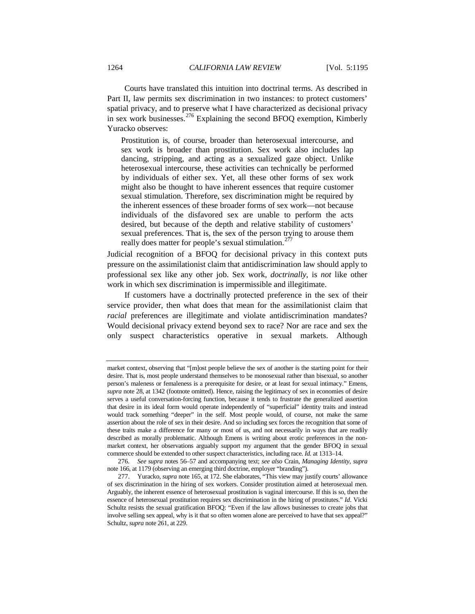Courts have translated this intuition into doctrinal terms. As described in Part II, law permits sex discrimination in two instances: to protect customers' spatial privacy, and to preserve what I have characterized as decisional privacy in sex work businesses.<sup>[276](#page-69-1)</sup> Explaining the second BFOQ exemption, Kimberly Yuracko observes:

Prostitution is, of course, broader than heterosexual intercourse, and sex work is broader than prostitution. Sex work also includes lap dancing, stripping, and acting as a sexualized gaze object. Unlike heterosexual intercourse, these activities can technically be performed by individuals of either sex. Yet, all these other forms of sex work might also be thought to have inherent essences that require customer sexual stimulation. Therefore, sex discrimination might be required by the inherent essences of these broader forms of sex work—not because individuals of the disfavored sex are unable to perform the acts desired, but because of the depth and relative stability of customers' sexual preferences. That is, the sex of the person trying to arouse them really does matter for people's sexual stimulation.<sup>2</sup>

<span id="page-69-0"></span>Judicial recognition of a BFOQ for decisional privacy in this context puts pressure on the assimilationist claim that antidiscrimination law should apply to professional sex like any other job. Sex work, *doctrinally*, is *not* like other work in which sex discrimination is impermissible and illegitimate.

If customers have a doctrinally protected preference in the sex of their service provider, then what does that mean for the assimilationist claim that *racial* preferences are illegitimate and violate antidiscrimination mandates? Would decisional privacy extend beyond sex to race? Nor are race and sex the only suspect characteristics operative in sexual markets. Although

market context, observing that "[m]ost people believe the sex of another is the starting point for their desire. That is, most people understand themselves to be monosexual rather than bisexual, so another person's maleness or femaleness is a prerequisite for desire, or at least for sexual intimacy." Emens, *supra* not[e 28,](#page-11-1) at 1342 (footnote omitted). Hence, raising the legitimacy of sex in economies of desire serves a useful conversation-forcing function, because it tends to frustrate the generalized assertion that desire in its ideal form would operate independently of "superficial" identity traits and instead would track something "deeper" in the self. Most people would, of course, not make the same assertion about the role of sex in their desire. And so including sex forces the recognition that some of these traits make a difference for many or most of us, and not necessarily in ways that are readily described as morally problematic. Although Emens is writing about erotic preferences in the nonmarket context, her observations arguably support my argument that the gender BFOQ in sexual commerce should be extended to other suspect characteristics, including race*. Id.* at 1313–14.

<span id="page-69-1"></span><sup>276</sup>*. See supra* notes 56–57 and accompanying text; *see also* Crain, *Managing Identity*, *supra* not[e 166,](#page-41-6) at 1179 (observing an emerging third doctrine, employer "branding").

<span id="page-69-2"></span><sup>277.</sup> Yuracko, *supra* not[e 165,](#page-41-0) at 172. She elaborates, "This view may justify courts' allowance of sex discrimination in the hiring of sex workers. Consider prostitution aimed at heterosexual men. Arguably, the inherent essence of heterosexual prostitution is vaginal intercourse. If this is so, then the essence of heterosexual prostitution requires sex discrimination in the hiring of prostitutes." *Id*. Vicki Schultz resists the sexual gratification BFOQ: "Even if the law allows businesses to create jobs that involve selling sex appeal, why is it that so often women alone are perceived to have that sex appeal?" Schultz, *supra* not[e 261,](#page-66-6) at 229.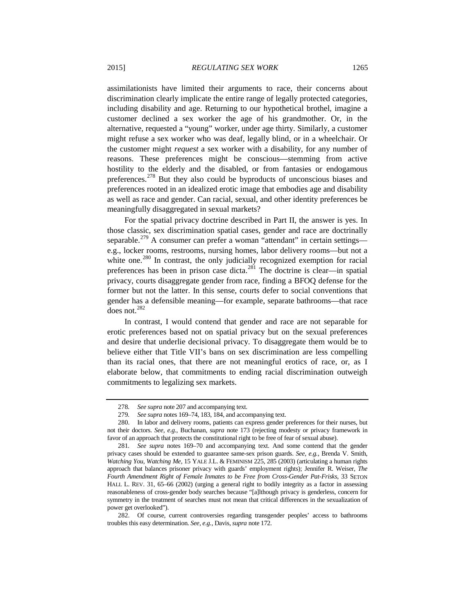assimilationists have limited their arguments to race, their concerns about discrimination clearly implicate the entire range of legally protected categories, including disability and age. Returning to our hypothetical brothel, imagine a customer declined a sex worker the age of his grandmother. Or, in the alternative, requested a "young" worker, under age thirty. Similarly, a customer might refuse a sex worker who was deaf, legally blind, or in a wheelchair. Or the customer might *request* a sex worker with a disability, for any number of

<span id="page-70-0"></span>reasons. These preferences might be conscious—stemming from active hostility to the elderly and the disabled, or from fantasies or endogamous preferences.<sup>[278](#page-70-1)</sup> But they also could be byproducts of unconscious biases and preferences rooted in an idealized erotic image that embodies age and disability as well as race and gender. Can racial, sexual, and other identity preferences be meaningfully disaggregated in sexual markets?

For the spatial privacy doctrine described in Part II, the answer is yes. In those classic, sex discrimination spatial cases, gender and race are doctrinally separable.<sup>[279](#page-70-2)</sup> A consumer can prefer a woman "attendant" in certain settings e.g., locker rooms, restrooms, nursing homes, labor delivery rooms—but not a white one.<sup>[280](#page-70-3)</sup> In contrast, the only judicially recognized exemption for racial preferences has been in prison case dicta.<sup>[281](#page-70-4)</sup> The doctrine is clear—in spatial privacy, courts disaggregate gender from race, finding a BFOQ defense for the former but not the latter. In this sense, courts defer to social conventions that gender has a defensible meaning—for example, separate bathrooms—that race does not. $^{282}$  $^{282}$  $^{282}$ 

In contrast, I would contend that gender and race are not separable for erotic preferences based not on spatial privacy but on the sexual preferences and desire that underlie decisional privacy. To disaggregate them would be to believe either that Title VII's bans on sex discrimination are less compelling than its racial ones, that there are not meaningful erotics of race, or, as I elaborate below, that commitments to ending racial discrimination outweigh commitments to legalizing sex markets.

<sup>278</sup>*. See supra* not[e 207](#page-50-5) and accompanying text.

<sup>279</sup>*. See supra* notes 169–74[, 183,](#page-44-6) [184,](#page-44-7) and accompanying text.

<span id="page-70-3"></span><span id="page-70-2"></span><span id="page-70-1"></span><sup>280.</sup> In labor and delivery rooms, patients can express gender preferences for their nurses, but not their doctors. *See, e.g.*, Buchanan, *supra* note [173](#page-42-7) (rejecting modesty or privacy framework in favor of an approach that protects the constitutional right to be free of fear of sexual abuse).

<span id="page-70-4"></span><sup>281</sup>*. See supra* notes 169–70 and accompanying text. And some contend that the gender privacy cases should be extended to guarantee same-sex prison guards. *See, e.g.*, Brenda V. Smith, *Watching You, Watching Me*, 15 YALE J.L. & FEMINISM 225, 285 (2003) (articulating a human rights approach that balances prisoner privacy with guards' employment rights); Jennifer R. Weiser, *The Fourth Amendment Right of Female Inmates to be Free from Cross-Gender Pat-Frisks*, 33 SETON HALL L. REV. 31, 65–66 (2002) (urging a general right to bodily integrity as a factor in assessing reasonableness of cross-gender body searches because "[a]lthough privacy is genderless, concern for symmetry in the treatment of searches must not mean that critical differences in the sexualization of power get overlooked").

<span id="page-70-5"></span><sup>282.</sup> Of course, current controversies regarding transgender peoples' access to bathrooms troubles this easy determination. *See, e.g.*, Davis, *supra* not[e 172.](#page-42-8)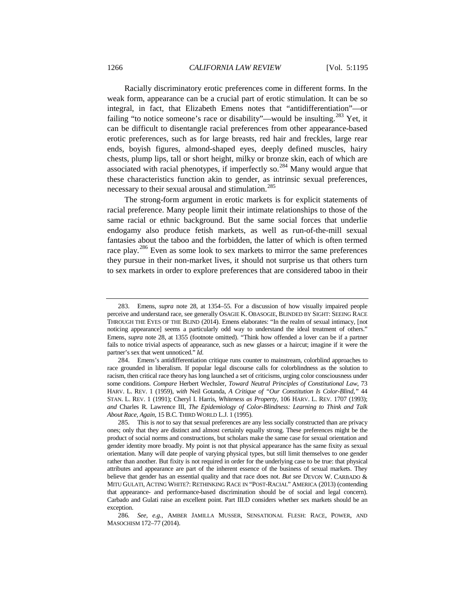Racially discriminatory erotic preferences come in different forms. In the weak form, appearance can be a crucial part of erotic stimulation. It can be so integral, in fact, that Elizabeth Emens notes that "antidifferentiation"—or failing "to notice someone's race or disability"—would be insulting.<sup>[283](#page-71-0)</sup> Yet, it can be difficult to disentangle racial preferences from other appearance-based erotic preferences, such as for large breasts, red hair and freckles, large rear ends, boyish figures, almond-shaped eyes, deeply defined muscles, hairy chests, plump lips, tall or short height, milky or bronze skin, each of which are associated with racial phenotypes, if imperfectly so.<sup>[284](#page-71-1)</sup> Many would argue that these characteristics function akin to gender, as intrinsic sexual preferences, necessary to their sexual arousal and stimulation.<sup>[285](#page-71-2)</sup>

The strong-form argument in erotic markets is for explicit statements of racial preference. Many people limit their intimate relationships to those of the same racial or ethnic background. But the same social forces that underlie endogamy also produce fetish markets, as well as run-of-the-mill sexual fantasies about the taboo and the forbidden, the latter of which is often termed race play.<sup>[286](#page-71-3)</sup> Even as some look to sex markets to mirror the same preferences they pursue in their non-market lives, it should not surprise us that others turn to sex markets in order to explore preferences that are considered taboo in their

<span id="page-71-0"></span><sup>283.</sup> Emens, *supra* note [28,](#page-11-1) at 1354–55. For a discussion of how visually impaired people perceive and understand race, see generally OSAGIE K. OBASOGIE, BLINDED BY SIGHT: SEEING RACE THROUGH THE EYES OF THE BLIND (2014). Emens elaborates: "In the realm of sexual intimacy, [not noticing appearance] seems a particularly odd way to understand the ideal treatment of others." Emens, *supra* note [28,](#page-11-1) at 1355 (footnote omitted). "Think how offended a lover can be if a partner fails to notice trivial aspects of appearance, such as new glasses or a haircut; imagine if it were the partner's sex that went unnoticed." *Id*.

<span id="page-71-1"></span><sup>284.</sup> Emens's antidifferentiation critique runs counter to mainstream, colorblind approaches to race grounded in liberalism. If popular legal discourse calls for colorblindness as the solution to racism, then critical race theory has long launched a set of criticisms, urging color consciousness under some conditions. *Compare* Herbert Wechsler, *Toward Neutral Principles of Constitutional Law*, 73 HARV. L. REV. 1 (1959), *with* Neil Gotanda, *A Critique of "Our Constitution Is Color-Blind*,*"* 44 STAN. L. REV. 1 (1991); Cheryl I. Harris, *Whiteness as Property*, 106 HARV. L. REV. 1707 (1993); *and* Charles R. Lawrence III, *The Epidemiology of Color-Blindness: Learning to Think and Talk About Race, Again*, 15 B.C. THIRD WORLD L.J. 1 (1995).

<span id="page-71-2"></span><sup>285.</sup> This is *not* to say that sexual preferences are any less socially constructed than are privacy ones; only that they are distinct and almost certainly equally strong. These preferences might be the product of social norms and constructions, but scholars make the same case for sexual orientation and gender identity more broadly. My point is not that physical appearance has the same fixity as sexual orientation. Many will date people of varying physical types, but still limit themselves to one gender rather than another. But fixity is not required in order for the underlying case to be true: that physical attributes and appearance are part of the inherent essence of the business of sexual markets. They believe that gender has an essential quality and that race does not. *But see* DEVON W. CARBADO & MITU GULATI, ACTING WHITE?: RETHINKING RACE IN "POST-RACIAL" AMERICA (2013) (contending that appearance- and performance-based discrimination should be of social and legal concern). Carbado and Gulati raise an excellent point. Part III.D considers whether sex markets should be an exception.

<span id="page-71-3"></span><sup>286</sup>*. See, e.g.*, AMBER JAMILLA MUSSER, SENSATIONAL FLESH: RACE, POWER, AND MASOCHISM 172–77 (2014).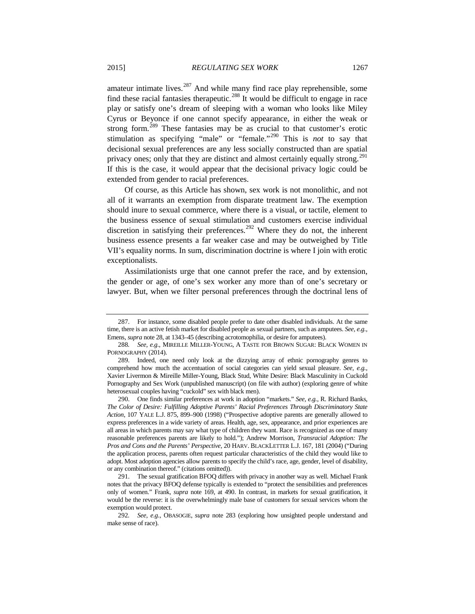amateur intimate lives.<sup>[287](#page-72-0)</sup> And while many find race play reprehensible, some find these racial fantasies therapeutic.<sup>[288](#page-72-1)</sup> It would be difficult to engage in race play or satisfy one's dream of sleeping with a woman who looks like Miley Cyrus or Beyonce if one cannot specify appearance, in either the weak or strong form.<sup>[289](#page-72-2)</sup> These fantasies may be as crucial to that customer's erotic stimulation as specifying "male" or "female."[290](#page-72-3) This is *not* to say that decisional sexual preferences are any less socially constructed than are spatial privacy ones; only that they are distinct and almost certainly equally strong.<sup>[291](#page-72-4)</sup> If this is the case, it would appear that the decisional privacy logic could be extended from gender to racial preferences.

Of course, as this Article has shown, sex work is not monolithic, and not all of it warrants an exemption from disparate treatment law. The exemption should inure to sexual commerce, where there is a visual, or tactile, element to the business essence of sexual stimulation and customers exercise individual discretion in satisfying their preferences.<sup>[292](#page-72-5)</sup> Where they do not, the inherent business essence presents a far weaker case and may be outweighed by Title VII's equality norms. In sum, discrimination doctrine is where I join with erotic exceptionalists.

Assimilationists urge that one cannot prefer the race, and by extension, the gender or age, of one's sex worker any more than of one's secretary or lawyer. But, when we filter personal preferences through the doctrinal lens of

<span id="page-72-3"></span>290. One finds similar preferences at work in adoption "markets." *See, e.g.*, R. Richard Banks, *The Color of Desire: Fulfilling Adoptive Parents' Racial Preferences Through Discriminatory State Action*, 107 YALE L.J. 875, 899–900 (1998) ("Prospective adoptive parents are generally allowed to express preferences in a wide variety of areas. Health, age, sex, appearance, and prior experiences are all areas in which parents may say what type of children they want. Race is recognized as one of many reasonable preferences parents are likely to hold."); Andrew Morrison, *Transracial Adoption: The Pros and Cons and the Parents' Perspective*, 20 HARV. BLACKLETTER L.J. 167, 181 (2004) ("During the application process, parents often request particular characteristics of the child they would like to adopt. Most adoption agencies allow parents to specify the child's race, age, gender, level of disability, or any combination thereof." (citations omitted)).

<span id="page-72-4"></span>291. The sexual gratification BFOQ differs with privacy in another way as well. Michael Frank notes that the privacy BFOQ defense typically is extended to "protect the sensibilities and preferences only of women." Frank, *supra* note [169,](#page-42-0) at 490. In contrast, in markets for sexual gratification, it would be the reverse: it is the overwhelmingly male base of customers for sexual services whom the exemption would protect.

<span id="page-72-5"></span>292*. See, e.g.*, OBASOGIE, *supra* note [283](#page-71-0) (exploring how unsighted people understand and make sense of race).

<span id="page-72-0"></span><sup>287.</sup> For instance, some disabled people prefer to date other disabled individuals. At the same time, there is an active fetish market for disabled people as sexual partners, such as amputees. *See, e.g.*, Emens, *supra* not[e 28,](#page-11-0) at 1343–45 (describing acrotomophilia, or desire for amputees).

<span id="page-72-1"></span><sup>288</sup>*. See, e.g.*, MIREILLE MILLER-YOUNG, A TASTE FOR BROWN SUGAR: BLACK WOMEN IN PORNOGRAPHY (2014).

<span id="page-72-2"></span><sup>289.</sup> Indeed, one need only look at the dizzying array of ethnic pornography genres to comprehend how much the accentuation of social categories can yield sexual pleasure. *See, e.g.*, Xavier Livermon & Mireille Miller-Young, Black Stud, White Desire: Black Masculinity in Cuckold Pornography and Sex Work (unpublished manuscript) (on file with author) (exploring genre of white heterosexual couples having "cuckold" sex with black men).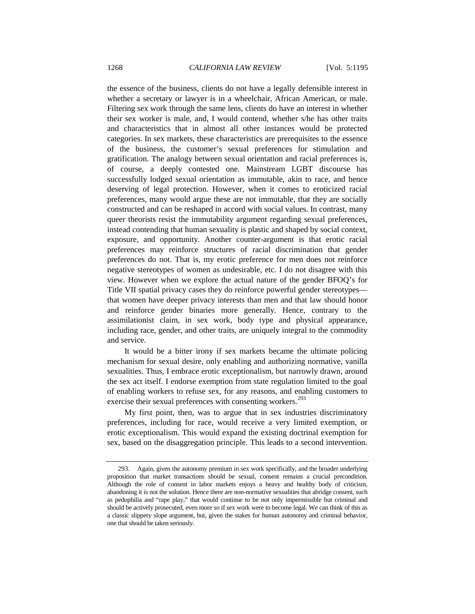the essence of the business, clients do not have a legally defensible interest in whether a secretary or lawyer is in a wheelchair, African American, or male. Filtering sex work through the same lens, clients do have an interest in whether their sex worker is male, and, I would contend, whether s/he has other traits and characteristics that in almost all other instances would be protected categories. In sex markets, these characteristics are prerequisites to the essence of the business, the customer's sexual preferences for stimulation and gratification. The analogy between sexual orientation and racial preferences is, of course, a deeply contested one. Mainstream LGBT discourse has successfully lodged sexual orientation as immutable, akin to race, and hence deserving of legal protection. However, when it comes to eroticized racial preferences, many would argue these are not immutable, that they are socially constructed and can be reshaped in accord with social values. In contrast, many queer theorists resist the immutability argument regarding sexual preferences, instead contending that human sexuality is plastic and shaped by social context, exposure, and opportunity. Another counter-argument is that erotic racial preferences may reinforce structures of racial discrimination that gender preferences do not. That is, my erotic preference for men does not reinforce negative stereotypes of women as undesirable, etc. I do not disagree with this view. However when we explore the actual nature of the gender BFOQ's for Title VII spatial privacy cases they do reinforce powerful gender stereotypes that women have deeper privacy interests than men and that law should honor and reinforce gender binaries more generally. Hence, contrary to the assimilationist claim, in sex work, body type and physical appearance, including race, gender, and other traits, are uniquely integral to the commodity and service.

It would be a bitter irony if sex markets became the ultimate policing mechanism for sexual desire, only enabling and authorizing normative, vanilla sexualities. Thus, I embrace erotic exceptionalism, but narrowly drawn, around the sex act itself. I endorse exemption from state regulation limited to the goal of enabling workers to refuse sex, for any reasons, and enabling customers to exercise their sexual preferences with consenting workers.<sup>[293](#page-73-0)</sup>

My first point, then, was to argue that in sex industries discriminatory preferences, including for race, would receive a very limited exemption, or erotic exceptionalism. This would expand the existing doctrinal exemption for sex, based on the disaggregation principle. This leads to a second intervention.

<span id="page-73-0"></span><sup>293.</sup> Again, given the autonomy premium in sex work specifically, and the broader underlying proposition that market transactions should be sexual, consent remains a crucial precondition. Although the role of consent in labor markets enjoys a heavy and healthy body of criticism, abandoning it is not the solution. Hence there are non-normative sexualities that abridge consent, such as pedophilia and "rape play," that would continue to be not only impermissible but criminal and should be actively prosecuted, even more so if sex work were to become legal. We can think of this as a classic slippery slope argument, but, given the stakes for human autonomy and criminal behavior, one that should be taken seriously.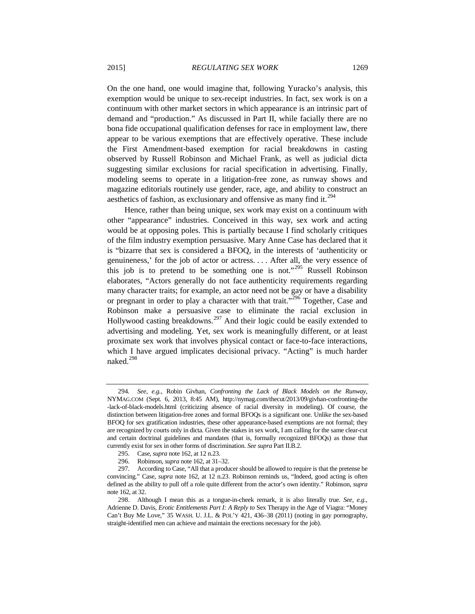On the one hand, one would imagine that, following Yuracko's analysis, this exemption would be unique to sex-receipt industries. In fact, sex work is on a continuum with other market sectors in which appearance is an intrinsic part of demand and "production." As discussed in Part II, while facially there are no bona fide occupational qualification defenses for race in employment law, there appear to be various exemptions that are effectively operative. These include the First Amendment-based exemption for racial breakdowns in casting observed by Russell Robinson and Michael Frank, as well as judicial dicta suggesting similar exclusions for racial specification in advertising. Finally, modeling seems to operate in a litigation-free zone, as runway shows and magazine editorials routinely use gender, race, age, and ability to construct an aesthetics of fashion, as exclusionary and offensive as many find it.<sup>[294](#page-74-0)</sup>

Hence, rather than being unique, sex work may exist on a continuum with other "appearance" industries. Conceived in this way, sex work and acting would be at opposing poles. This is partially because I find scholarly critiques of the film industry exemption persuasive. Mary Anne Case has declared that it is "bizarre that sex is considered a BFOQ, in the interests of 'authenticity or genuineness,' for the job of actor or actress. . . . After all, the very essence of this job is to pretend to be something one is not."[295](#page-74-1) Russell Robinson elaborates, "Actors generally do not face authenticity requirements regarding many character traits; for example, an actor need not be gay or have a disability or pregnant in order to play a character with that trait."<sup>[296](#page-74-2)</sup> Together, Case and Robinson make a persuasive case to eliminate the racial exclusion in Hollywood casting breakdowns.<sup>[297](#page-74-3)</sup> And their logic could be easily extended to advertising and modeling. Yet, sex work is meaningfully different, or at least proximate sex work that involves physical contact or face-to-face interactions, which I have argued implicates decisional privacy. "Acting" is much harder naked.<sup>[298](#page-74-4)</sup>

<span id="page-74-0"></span><sup>294</sup>*. See, e.g.*, Robin Givhan, *Confronting the Lack of Black Models on the Runway*, NYMAG.COM (Sept. 6, 2013, 8:45 AM), http://nymag.com/thecut/2013/09/givhan-confronting-the -lack-of-black-models.html (criticizing absence of racial diversity in modeling). Of course, the distinction between litigation-free zones and formal BFOQs is a significant one. Unlike the sex-based BFOQ for sex gratification industries, these other appearance-based exemptions are not formal; they are recognized by courts only in dicta. Given the stakes in sex work, I am calling for the same clear-cut and certain doctrinal guidelines and mandates (that is, formally recognized BFOQs) as those that currently exist for sex in other forms of discrimination. *See supra* Part II.B.2.

<sup>295.</sup> Case, *supra* not[e 162,](#page-40-0) at 12 n.23.

<sup>296.</sup> Robinson, *supra* not[e 162,](#page-40-0) at 31–32.

<span id="page-74-3"></span><span id="page-74-2"></span><span id="page-74-1"></span><sup>297.</sup> According to Case, "All that a producer should be allowed to require is that the pretense be convincing." Case, *supra* note [162,](#page-40-0) at 12 n.23. Robinson reminds us, "Indeed, good acting is often defined as the ability to pull off a role quite different from the actor's own identity." Robinson, *supra*  not[e 162,](#page-40-0) at 32.

<span id="page-74-4"></span><sup>298.</sup> Although I mean this as a tongue-in-cheek remark, it is also literally true. *See, e.g.*, Adrienne D. Davis, *Erotic Entitlements Part I: A Reply to* Sex Therapy in the Age of Viagra: "Money Can't Buy Me Love," 35 WASH. U. J.L. & POL'Y 421, 436–38 (2011) (noting in gay pornography, straight-identified men can achieve and maintain the erections necessary for the job).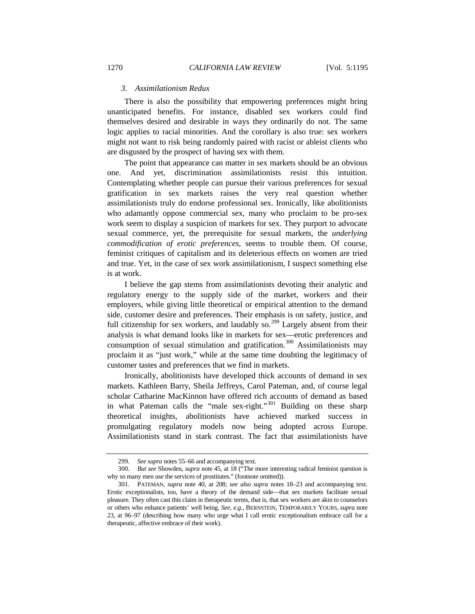## *3. Assimilationism Redux*

There is also the possibility that empowering preferences might bring unanticipated benefits. For instance, disabled sex workers could find themselves desired and desirable in ways they ordinarily do not. The same logic applies to racial minorities. And the corollary is also true: sex workers might not want to risk being randomly paired with racist or ableist clients who are disgusted by the prospect of having sex with them.

The point that appearance can matter in sex markets should be an obvious one. And yet, discrimination assimilationists resist this intuition. Contemplating whether people can pursue their various preferences for sexual gratification in sex markets raises the very real question whether assimilationists truly do endorse professional sex. Ironically, like abolitionists who adamantly oppose commercial sex, many who proclaim to be pro-sex work seem to display a suspicion of markets for sex. They purport to advocate sexual commerce, yet, the prerequisite for sexual markets, the *underlying commodification of erotic preferences*, seems to trouble them. Of course, feminist critiques of capitalism and its deleterious effects on women are tried and true. Yet, in the case of sex work assimilationism, I suspect something else is at work.

I believe the gap stems from assimilationists devoting their analytic and regulatory energy to the supply side of the market, workers and their employers, while giving little theoretical or empirical attention to the demand side, customer desire and preferences. Their emphasis is on safety, justice, and full citizenship for sex workers, and laudably so.<sup>[299](#page-75-0)</sup> Largely absent from their analysis is what demand looks like in markets for sex—erotic preferences and consumption of sexual stimulation and gratification. $300$  Assimilationists may proclaim it as "just work," while at the same time doubting the legitimacy of customer tastes and preferences that we find in markets.

Ironically, abolitionists have developed thick accounts of demand in sex markets. Kathleen Barry, Sheila Jeffreys, Carol Pateman, and, of course legal scholar Catharine MacKinnon have offered rich accounts of demand as based in what Pateman calls the "male sex-right."<sup>[301](#page-75-2)</sup> Building on these sharp theoretical insights, abolitionists have achieved marked success in promulgating regulatory models now being adopted across Europe. Assimilationists stand in stark contrast. The fact that assimilationists have

<sup>299</sup>*. See supra* note[s 55](#page-17-0)[–66](#page-19-0) and accompanying text.

<span id="page-75-1"></span><span id="page-75-0"></span><sup>300</sup>*. But see* Showden, *supra* not[e 45,](#page-15-0) at 18 ("The more interesting radical feminist question is why so many men use the services of prostitutes." (footnote omitted)).

<span id="page-75-2"></span><sup>301.</sup> PATEMAN, *supra* note [40,](#page-13-0) at 208; *see also supra* notes 18–23 and accompanying text. Erotic exceptionalists, too, have a theory of the demand side—that sex markets facilitate sexual pleasure. They often cast this claim in therapeutic terms, that is, that sex workers are akin to counselors or others who enhance patients' well being. *See, e.g.*, BERNSTEIN, TEMPORARILY YOURS, *supra* note [23,](#page-8-0) at 96–97 (describing how many who urge what I call erotic exceptionalism embrace call for a therapeutic, affective embrace of their work).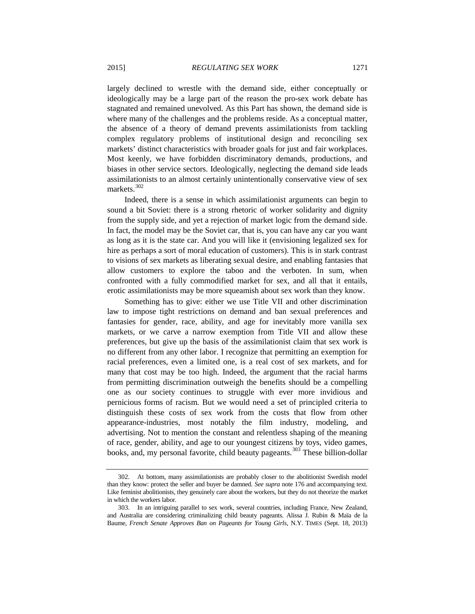largely declined to wrestle with the demand side, either conceptually or ideologically may be a large part of the reason the pro-sex work debate has stagnated and remained unevolved. As this Part has shown, the demand side is where many of the challenges and the problems reside. As a conceptual matter, the absence of a theory of demand prevents assimilationists from tackling complex regulatory problems of institutional design and reconciling sex markets' distinct characteristics with broader goals for just and fair workplaces. Most keenly, we have forbidden discriminatory demands, productions, and biases in other service sectors. Ideologically, neglecting the demand side leads assimilationists to an almost certainly unintentionally conservative view of sex markets.<sup>[302](#page-76-0)</sup>

Indeed, there is a sense in which assimilationist arguments can begin to sound a bit Soviet: there is a strong rhetoric of worker solidarity and dignity from the supply side, and yet a rejection of market logic from the demand side. In fact, the model may be the Soviet car, that is, you can have any car you want as long as it is the state car. And you will like it (envisioning legalized sex for hire as perhaps a sort of moral education of customers). This is in stark contrast to visions of sex markets as liberating sexual desire, and enabling fantasies that allow customers to explore the taboo and the verboten. In sum, when confronted with a fully commodified market for sex, and all that it entails, erotic assimilationists may be more squeamish about sex work than they know.

Something has to give: either we use Title VII and other discrimination law to impose tight restrictions on demand and ban sexual preferences and fantasies for gender, race, ability, and age for inevitably more vanilla sex markets, or we carve a narrow exemption from Title VII and allow these preferences, but give up the basis of the assimilationist claim that sex work is no different from any other labor. I recognize that permitting an exemption for racial preferences, even a limited one, is a real cost of sex markets, and for many that cost may be too high. Indeed, the argument that the racial harms from permitting discrimination outweigh the benefits should be a compelling one as our society continues to struggle with ever more invidious and pernicious forms of racism. But we would need a set of principled criteria to distinguish these costs of sex work from the costs that flow from other appearance-industries, most notably the film industry, modeling, and advertising. Not to mention the constant and relentless shaping of the meaning of race, gender, ability, and age to our youngest citizens by toys, video games, books, and, my personal favorite, child beauty pageants.<sup>[303](#page-76-1)</sup> These billion-dollar

<span id="page-76-0"></span><sup>302.</sup> At bottom, many assimilationists are probably closer to the abolitionist Swedish model than they know: protect the seller and buyer be damned. *See supra* note 176 and accompanying text. Like feminist abolitionists, they genuinely care about the workers, but they do not theorize the market in which the workers labor.

<span id="page-76-1"></span><sup>303.</sup> In an intriguing parallel to sex work, several countries, including France, New Zealand, and Australia are considering criminalizing child beauty pageants. Alissa J. Rubin & Maïa de la Baume, *French Senate Approves Ban on Pageants for Young Girls*, N.Y. TIMES (Sept. 18, 2013)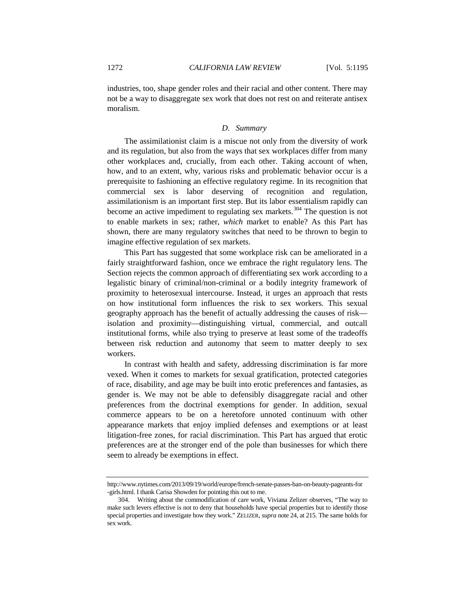industries, too, shape gender roles and their racial and other content. There may not be a way to disaggregate sex work that does not rest on and reiterate antisex moralism.

## *D. Summary*

The assimilationist claim is a miscue not only from the diversity of work and its regulation, but also from the ways that sex workplaces differ from many other workplaces and, crucially, from each other. Taking account of when, how, and to an extent, why, various risks and problematic behavior occur is a prerequisite to fashioning an effective regulatory regime. In its recognition that commercial sex is labor deserving of recognition and regulation, assimilationism is an important first step. But its labor essentialism rapidly can become an active impediment to regulating sex markets.<sup>[304](#page-77-0)</sup> The question is not to enable markets in sex; rather, *which* market to enable? As this Part has shown, there are many regulatory switches that need to be thrown to begin to imagine effective regulation of sex markets.

This Part has suggested that some workplace risk can be ameliorated in a fairly straightforward fashion, once we embrace the right regulatory lens. The Section rejects the common approach of differentiating sex work according to a legalistic binary of criminal/non-criminal or a bodily integrity framework of proximity to heterosexual intercourse. Instead, it urges an approach that rests on how institutional form influences the risk to sex workers. This sexual geography approach has the benefit of actually addressing the causes of risk isolation and proximity—distinguishing virtual, commercial, and outcall institutional forms, while also trying to preserve at least some of the tradeoffs between risk reduction and autonomy that seem to matter deeply to sex workers.

In contrast with health and safety, addressing discrimination is far more vexed. When it comes to markets for sexual gratification, protected categories of race, disability, and age may be built into erotic preferences and fantasies, as gender is. We may not be able to defensibly disaggregate racial and other preferences from the doctrinal exemptions for gender. In addition, sexual commerce appears to be on a heretofore unnoted continuum with other appearance markets that enjoy implied defenses and exemptions or at least litigation-free zones, for racial discrimination. This Part has argued that erotic preferences are at the stronger end of the pole than businesses for which there seem to already be exemptions in effect.

http://www.nytimes.com/2013/09/19/world/europe/french-senate-passes-ban-on-beauty-pageants-for -girls.html. I thank Carisa Showden for pointing this out to me.

<span id="page-77-0"></span><sup>304.</sup> Writing about the commodification of care work, Viviana Zelizer observes, "The way to make such levers effective is not to deny that households have special properties but to identify those special properties and investigate how they work." ZELIZER, *supra* not[e 24,](#page-8-1) at 215. The same holds for sex work.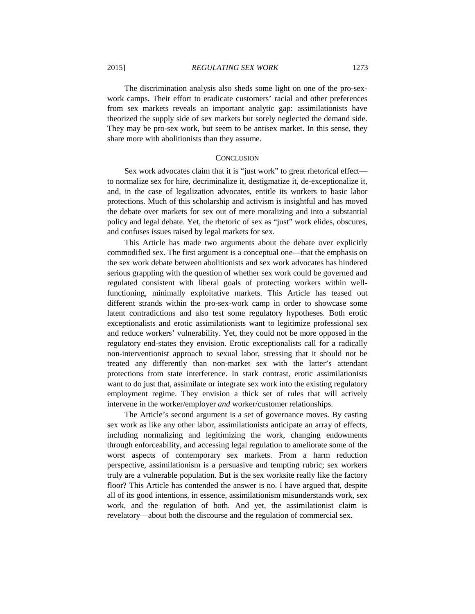2015] *REGULATING SEX WORK* 1273

The discrimination analysis also sheds some light on one of the pro-sexwork camps. Their effort to eradicate customers' racial and other preferences from sex markets reveals an important analytic gap: assimilationists have theorized the supply side of sex markets but sorely neglected the demand side. They may be pro-sex work, but seem to be antisex market. In this sense, they share more with abolitionists than they assume.

## **CONCLUSION**

Sex work advocates claim that it is "just work" to great rhetorical effect to normalize sex for hire, decriminalize it, destigmatize it, de-exceptionalize it, and, in the case of legalization advocates, entitle its workers to basic labor protections. Much of this scholarship and activism is insightful and has moved the debate over markets for sex out of mere moralizing and into a substantial policy and legal debate. Yet, the rhetoric of sex as "just" work elides, obscures, and confuses issues raised by legal markets for sex.

This Article has made two arguments about the debate over explicitly commodified sex. The first argument is a conceptual one—that the emphasis on the sex work debate between abolitionists and sex work advocates has hindered serious grappling with the question of whether sex work could be governed and regulated consistent with liberal goals of protecting workers within wellfunctioning, minimally exploitative markets. This Article has teased out different strands within the pro-sex-work camp in order to showcase some latent contradictions and also test some regulatory hypotheses. Both erotic exceptionalists and erotic assimilationists want to legitimize professional sex and reduce workers' vulnerability. Yet, they could not be more opposed in the regulatory end-states they envision. Erotic exceptionalists call for a radically non-interventionist approach to sexual labor, stressing that it should not be treated any differently than non-market sex with the latter's attendant protections from state interference. In stark contrast, erotic assimilationists want to do just that, assimilate or integrate sex work into the existing regulatory employment regime. They envision a thick set of rules that will actively intervene in the worker/employer *and* worker/customer relationships.

The Article's second argument is a set of governance moves. By casting sex work as like any other labor, assimilationists anticipate an array of effects, including normalizing and legitimizing the work, changing endowments through enforceability, and accessing legal regulation to ameliorate some of the worst aspects of contemporary sex markets. From a harm reduction perspective, assimilationism is a persuasive and tempting rubric; sex workers truly are a vulnerable population. But is the sex worksite really like the factory floor? This Article has contended the answer is no. I have argued that, despite all of its good intentions, in essence, assimilationism misunderstands work, sex work, and the regulation of both. And yet, the assimilationist claim is revelatory—about both the discourse and the regulation of commercial sex.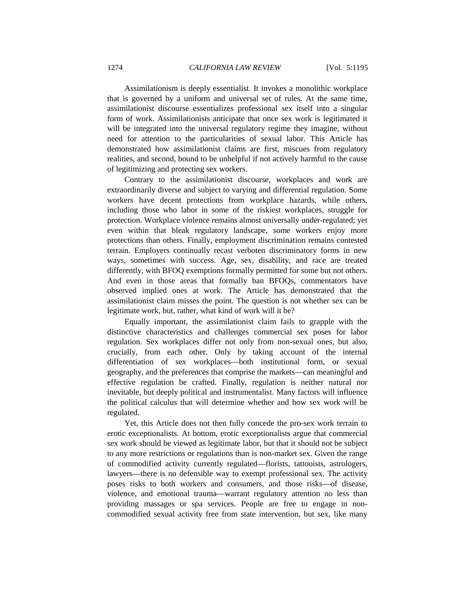Assimilationism is deeply essentialist. It invokes a monolithic workplace that is governed by a uniform and universal set of rules. At the same time, assimilationist discourse essentializes professional sex itself into a singular form of work. Assimilationists anticipate that once sex work is legitimated it will be integrated into the universal regulatory regime they imagine, without need for attention to the particularities of sexual labor. This Article has demonstrated how assimilationist claims are first, miscues from regulatory realities, and second, bound to be unhelpful if not actively harmful to the cause of legitimizing and protecting sex workers.

Contrary to the assimilationist discourse, workplaces and work are extraordinarily diverse and subject to varying and differential regulation. Some workers have decent protections from workplace hazards, while others, including those who labor in some of the riskiest workplaces, struggle for protection. Workplace violence remains almost universally under-regulated; yet even within that bleak regulatory landscape, some workers enjoy more protections than others. Finally, employment discrimination remains contested terrain. Employers continually recast verboten discriminatory forms in new ways, sometimes with success. Age, sex, disability, and race are treated differently, with BFOQ exemptions formally permitted for some but not others. And even in those areas that formally ban BFOQs, commentators have observed implied ones at work. The Article has demonstrated that the assimilationist claim misses the point. The question is not whether sex can be legitimate work, but, rather, what kind of work will it be?

Equally important, the assimilationist claim fails to grapple with the distinctive characteristics and challenges commercial sex poses for labor regulation. Sex workplaces differ not only from non-sexual ones, but also, crucially, from each other. Only by taking account of the internal differentiation of sex workplaces—both institutional form, or sexual geography, and the preferences that comprise the markets—can meaningful and effective regulation be crafted. Finally, regulation is neither natural nor inevitable, but deeply political and instrumentalist. Many factors will influence the political calculus that will determine whether and how sex work will be regulated.

Yet, this Article does not then fully concede the pro-sex work terrain to erotic exceptionalists. At bottom, erotic exceptionalists argue that commercial sex work should be viewed as legitimate labor, but that it should not be subject to any more restrictions or regulations than is non-market sex. Given the range of commodified activity currently regulated—florists, tattooists, astrologers, lawyers—there is no defensible way to exempt professional sex. The activity poses risks to both workers and consumers, and those risks—of disease, violence, and emotional trauma—warrant regulatory attention no less than providing massages or spa services. People are free to engage in noncommodified sexual activity free from state intervention, but sex, like many